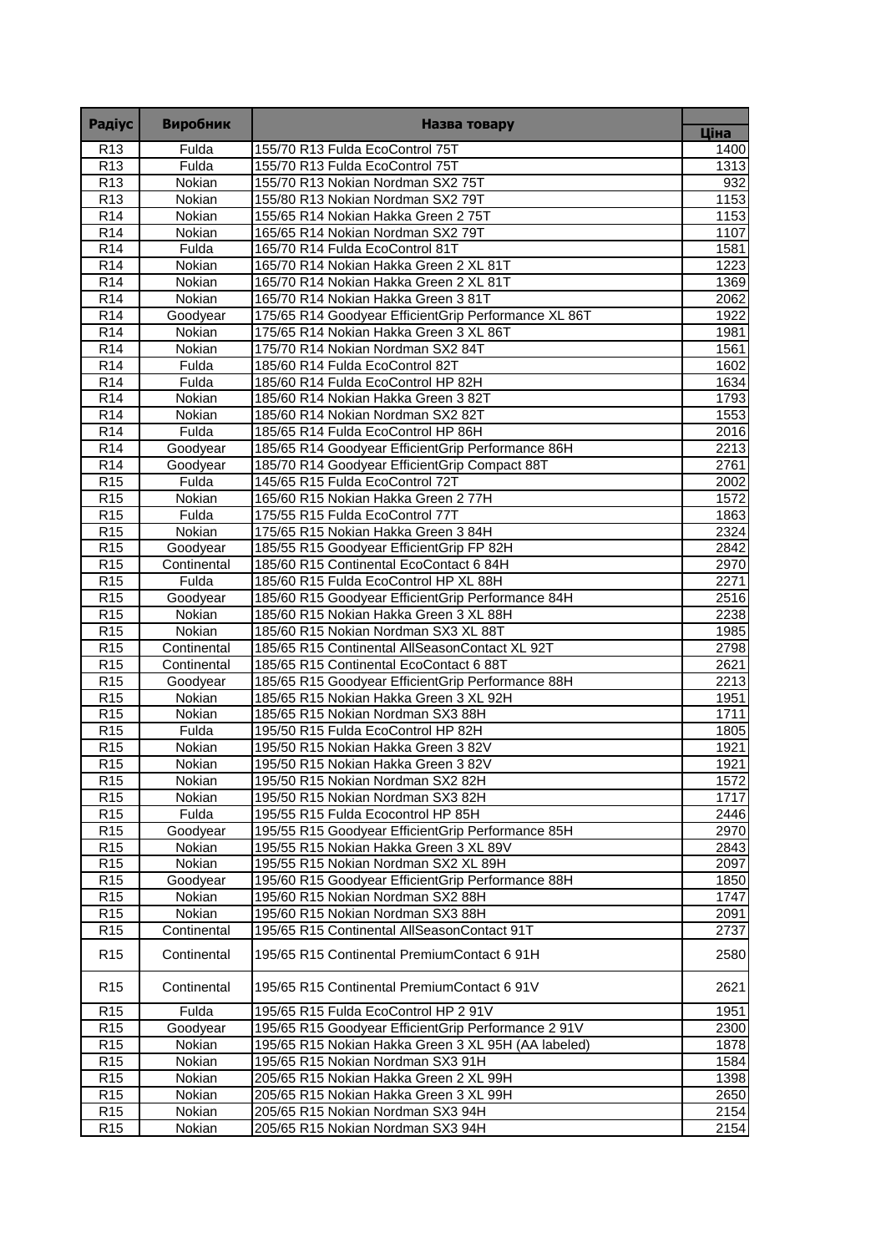| <b>Радіус</b>   | <b>Виробник</b> | Назва товару                                         |                   |
|-----------------|-----------------|------------------------------------------------------|-------------------|
|                 |                 |                                                      | Ціна              |
| R <sub>13</sub> | Fulda           | 155/70 R13 Fulda EcoControl 75T                      | 1400              |
| R <sub>13</sub> | Fulda           | 155/70 R13 Fulda EcoControl 75T                      | 1313              |
| R <sub>13</sub> | Nokian          | 155/70 R13 Nokian Nordman SX2 75T                    | 932               |
| R <sub>13</sub> | Nokian          | 155/80 R13 Nokian Nordman SX2 79T                    | 1153              |
| R14             | Nokian          | 155/65 R14 Nokian Hakka Green 2 75T                  | 1153              |
| R <sub>14</sub> | Nokian          | 165/65 R14 Nokian Nordman SX2 79T                    | 1107              |
| R <sub>14</sub> | Fulda           | 165/70 R14 Fulda EcoControl 81T                      | 1581              |
| R14             | Nokian          | 165/70 R14 Nokian Hakka Green 2 XL 81T               | 1223              |
| R14             | Nokian          | 165/70 R14 Nokian Hakka Green 2 XL 81T               | 1369              |
| R <sub>14</sub> | Nokian          | 165/70 R14 Nokian Hakka Green 3 81T                  | 2062              |
| R <sub>14</sub> | Goodyear        | 175/65 R14 Goodyear EfficientGrip Performance XL 86T | 1922              |
| R <sub>14</sub> | Nokian          | 175/65 R14 Nokian Hakka Green 3 XL 86T               | 1981              |
| R14             | Nokian          | 175/70 R14 Nokian Nordman SX2 84T                    | 1561              |
| R <sub>14</sub> | Fulda           | 185/60 R14 Fulda EcoControl 82T                      | 1602              |
| R14             | Fulda           | 185/60 R14 Fulda EcoControl HP 82H                   | 1634              |
| R14             | Nokian          | 185/60 R14 Nokian Hakka Green 3 82T                  | 1793              |
| R14             | Nokian          | 185/60 R14 Nokian Nordman SX2 82T                    | 1553              |
| R <sub>14</sub> | Fulda           | 185/65 R14 Fulda EcoControl HP 86H                   | 2016              |
| R <sub>14</sub> | Goodyear        | 185/65 R14 Goodyear EfficientGrip Performance 86H    | 2213              |
| R <sub>14</sub> | Goodyear        | 185/70 R14 Goodyear EfficientGrip Compact 88T        | 2761              |
| R <sub>15</sub> | Fulda           | 145/65 R15 Fulda EcoControl 72T                      | 2002              |
| R <sub>15</sub> | Nokian          | 165/60 R15 Nokian Hakka Green 2 77H                  | 1572              |
| R15             | Fulda           | 175/55 R15 Fulda EcoControl 77T                      | 1863              |
| R15             | Nokian          | 175/65 R15 Nokian Hakka Green 3 84H                  | 2324              |
| R <sub>15</sub> | Goodyear        | 185/55 R15 Goodyear EfficientGrip FP 82H             | 2842              |
| R <sub>15</sub> | Continental     | 185/60 R15 Continental EcoContact 6 84H              | 2970              |
| R <sub>15</sub> | Fulda           | 185/60 R15 Fulda EcoControl HP XL 88H                | 2271              |
| R <sub>15</sub> | Goodyear        | 185/60 R15 Goodyear EfficientGrip Performance 84H    | 2516              |
| R15             | Nokian          | 185/60 R15 Nokian Hakka Green 3 XL 88H               | 2238              |
| R <sub>15</sub> | Nokian          | 185/60 R15 Nokian Nordman SX3 XL 88T                 | 1985              |
| R15             | Continental     | 185/65 R15 Continental AllSeasonContact XL 92T       | 2798              |
| R <sub>15</sub> | Continental     | 185/65 R15 Continental EcoContact 6 88T              | 2621              |
| R <sub>15</sub> | Goodyear        | 185/65 R15 Goodyear EfficientGrip Performance 88H    | 2213              |
| R <sub>15</sub> | Nokian          | 185/65 R15 Nokian Hakka Green 3 XL 92H               | 1951              |
| R <sub>15</sub> | Nokian          | 185/65 R15 Nokian Nordman SX3 88H                    | 1711              |
| R15             | Fulda           | 195/50 R15 Fulda EcoControl HP 82H                   | $\overline{1805}$ |
| R <sub>15</sub> | Nokian          | 195/50 R15 Nokian Hakka Green 3 82V                  | 1921              |
| R15             | Nokian          | 195/50 R15 Nokian Hakka Green 3 82V                  | 1921              |
| R <sub>15</sub> | Nokian          | 195/50 R15 Nokian Nordman SX2 82H                    | 1572              |
| R <sub>15</sub> | Nokian          | 195/50 R15 Nokian Nordman SX3 82H                    | 1717              |
| R <sub>15</sub> | Fulda           | 195/55 R15 Fulda Ecocontrol HP 85H                   | 2446              |
| R <sub>15</sub> | Goodyear        | 195/55 R15 Goodyear EfficientGrip Performance 85H    | 2970              |
| R <sub>15</sub> | Nokian          | 195/55 R15 Nokian Hakka Green 3 XL 89V               | 2843              |
| R15             | Nokian          | 195/55 R15 Nokian Nordman SX2 XL 89H                 | 2097              |
| R <sub>15</sub> | Goodyear        | 195/60 R15 Goodyear EfficientGrip Performance 88H    | 1850              |
| R <sub>15</sub> | Nokian          | 195/60 R15 Nokian Nordman SX2 88H                    | 1747              |
| R <sub>15</sub> | Nokian          | 195/60 R15 Nokian Nordman SX3 88H                    | 2091              |
| R <sub>15</sub> | Continental     | 195/65 R15 Continental AllSeasonContact 91T          | 2737              |
| R <sub>15</sub> | Continental     | 195/65 R15 Continental PremiumContact 6 91H          | 2580              |
| R <sub>15</sub> | Continental     | 195/65 R15 Continental PremiumContact 6 91V          | 2621              |
| R <sub>15</sub> | Fulda           | 195/65 R15 Fulda EcoControl HP 2 91V                 | 1951              |
| R <sub>15</sub> | Goodyear        | 195/65 R15 Goodyear EfficientGrip Performance 2 91V  | 2300              |
| R <sub>15</sub> | Nokian          | 195/65 R15 Nokian Hakka Green 3 XL 95H (AA labeled)  | 1878              |
| R <sub>15</sub> | Nokian          | 195/65 R15 Nokian Nordman SX3 91H                    | 1584              |
| R <sub>15</sub> | Nokian          | 205/65 R15 Nokian Hakka Green 2 XL 99H               | 1398              |
| R <sub>15</sub> | Nokian          | 205/65 R15 Nokian Hakka Green 3 XL 99H               | 2650              |
| R <sub>15</sub> | Nokian          | 205/65 R15 Nokian Nordman SX3 94H                    | 2154              |
| R <sub>15</sub> |                 |                                                      |                   |
|                 | Nokian          | 205/65 R15 Nokian Nordman SX3 94H                    | 2154              |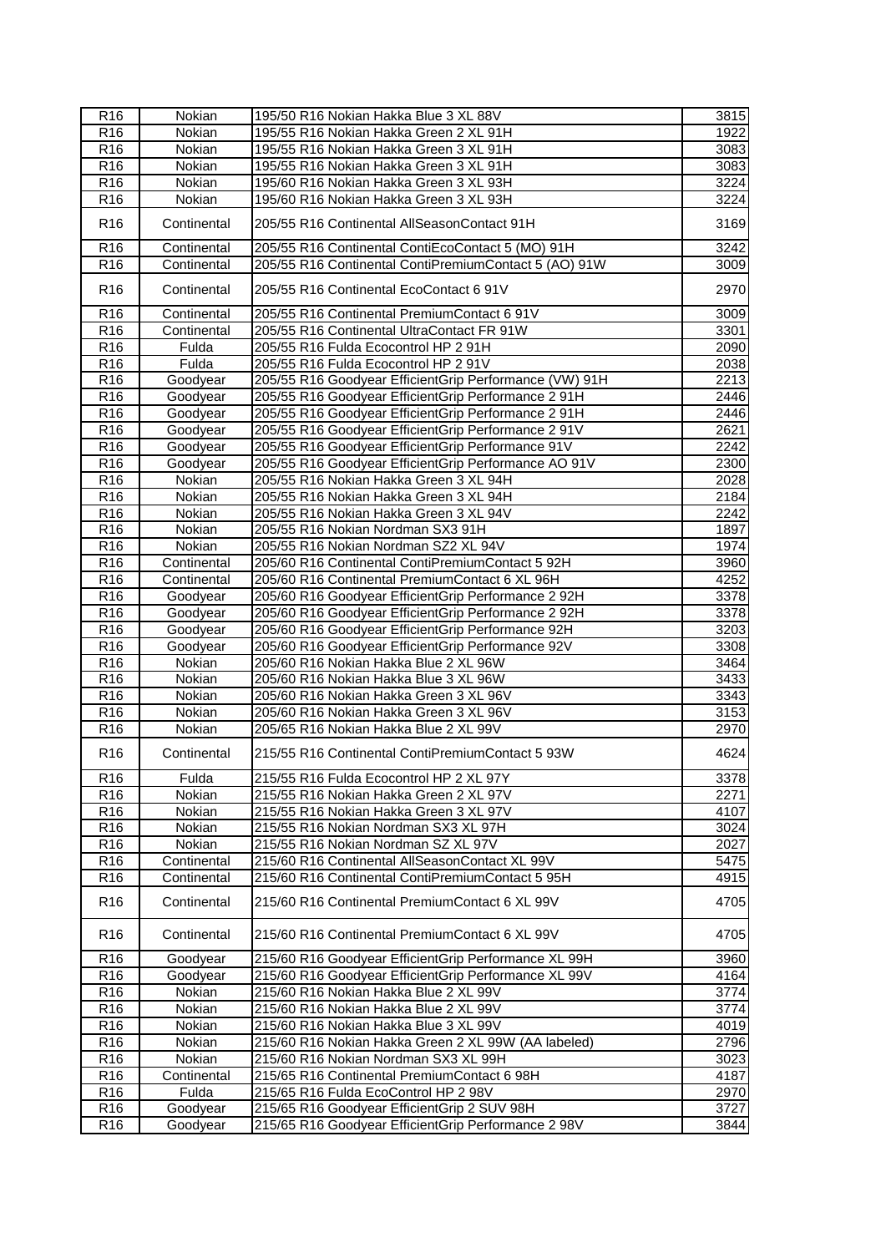| R <sub>16</sub>                      | Nokian      | 195/50 R16 Nokian Hakka Blue 3 XL 88V                  | 3815               |
|--------------------------------------|-------------|--------------------------------------------------------|--------------------|
| R <sub>16</sub>                      | Nokian      | 195/55 R16 Nokian Hakka Green 2 XL 91H                 | $\overline{19}22$  |
| R <sub>16</sub>                      | Nokian      | 195/55 R16 Nokian Hakka Green 3 XL 91H                 | 3083               |
| R <sub>16</sub>                      | Nokian      | 195/55 R16 Nokian Hakka Green 3 XL 91H                 | $\overline{3}083$  |
| R <sub>16</sub>                      | Nokian      | 195/60 R16 Nokian Hakka Green 3 XL 93H                 | 3224               |
| R <sub>16</sub>                      | Nokian      | 195/60 R16 Nokian Hakka Green 3 XL 93H                 | 3224               |
|                                      |             |                                                        |                    |
| R <sub>16</sub>                      | Continental | 205/55 R16 Continental AllSeasonContact 91H            | 3169               |
| R <sub>16</sub>                      | Continental | 205/55 R16 Continental ContiEcoContact 5 (MO) 91H      | $\frac{1}{3242}$   |
| R <sub>16</sub>                      | Continental | 205/55 R16 Continental ContiPremiumContact 5 (AO) 91W  | 3009               |
|                                      |             |                                                        |                    |
| R <sub>16</sub>                      | Continental | 205/55 R16 Continental EcoContact 6 91V                | 2970               |
| R <sub>16</sub>                      | Continental | 205/55 R16 Continental PremiumContact 6 91V            | 3009               |
| R <sub>16</sub>                      | Continental | 205/55 R16 Continental UltraContact FR 91W             | 3301               |
| R <sub>16</sub>                      | Fulda       | 205/55 R16 Fulda Ecocontrol HP 2 91H                   | 2090               |
| R <sub>16</sub>                      | Fulda       | 205/55 R16 Fulda Ecocontrol HP 2 91V                   | 2038               |
| R <sub>16</sub>                      | Goodyear    | 205/55 R16 Goodyear EfficientGrip Performance (VW) 91H | 2213               |
| R <sub>16</sub>                      | Goodyear    | 205/55 R16 Goodyear EfficientGrip Performance 2 91H    | 2446               |
| R <sub>16</sub>                      | Goodyear    | 205/55 R16 Goodyear EfficientGrip Performance 2 91H    | 2446               |
| R <sub>16</sub>                      | Goodyear    | 205/55 R16 Goodyear EfficientGrip Performance 2 91V    | 2621               |
| R <sub>16</sub>                      | Goodyear    | 205/55 R16 Goodyear EfficientGrip Performance 91V      | 2242               |
| R <sub>16</sub>                      | Goodyear    | 205/55 R16 Goodyear EfficientGrip Performance AO 91V   | 2300               |
| R16                                  | Nokian      | 205/55 R16 Nokian Hakka Green 3 XL 94H                 | 2028               |
| R <sub>16</sub>                      | Nokian      | 205/55 R16 Nokian Hakka Green 3 XL 94H                 | $\overline{2}$ 184 |
| R <sub>16</sub>                      | Nokian      | 205/55 R16 Nokian Hakka Green 3 XL 94V                 | 2242               |
| R16                                  | Nokian      | 205/55 R16 Nokian Nordman SX3 91H                      | 1897               |
| R <sub>16</sub>                      | Nokian      | 205/55 R16 Nokian Nordman SZ2 XL 94V                   | 1974               |
| R <sub>16</sub>                      | Continental | 205/60 R16 Continental ContiPremiumContact 5 92H       | 3960               |
| R <sub>16</sub>                      | Continental | 205/60 R16 Continental PremiumContact 6 XL 96H         | 4252               |
| $\overline{R}$ 16                    |             | 205/60 R16 Goodyear EfficientGrip Performance 2 92H    | 3378               |
|                                      | Goodyear    |                                                        |                    |
| R <sub>16</sub><br>R16               | Goodyear    | 205/60 R16 Goodyear EfficientGrip Performance 2 92H    | 3378               |
|                                      | Goodyear    | 205/60 R16 Goodyear EfficientGrip Performance 92H      | 3203               |
| R <sub>16</sub>                      | Goodyear    | 205/60 R16 Goodyear EfficientGrip Performance 92V      | 3308               |
| R <sub>16</sub>                      | Nokian      | 205/60 R16 Nokian Hakka Blue 2 XL 96W                  | 3464               |
| R <sub>16</sub>                      | Nokian      | 205/60 R16 Nokian Hakka Blue 3 XL 96W                  | 3433               |
| R <sub>16</sub><br>$\overline{R}$ 16 | Nokian      | 205/60 R16 Nokian Hakka Green 3 XL 96V                 | 3343               |
|                                      | Nokian      | 205/60 R16 Nokian Hakka Green 3 XL 96V                 | 3153               |
| R <sub>16</sub>                      | Nokian      | 205/65 R16 Nokian Hakka Blue 2 XL 99V                  | 2970               |
| R <sub>16</sub>                      | Continental | 215/55 R16 Continental ContiPremiumContact 5 93W       | 4624               |
| R <sub>16</sub>                      | Fulda       | 215/55 R16 Fulda Ecocontrol HP 2 XL 97Y                | 3378               |
| R <sub>16</sub>                      | Nokian      | 215/55 R16 Nokian Hakka Green 2 XL 97V                 | 2271               |
| R <sub>16</sub>                      | Nokian      | 215/55 R16 Nokian Hakka Green 3 XL 97V                 | 4107               |
| R <sub>16</sub>                      | Nokian      | 215/55 R16 Nokian Nordman SX3 XL 97H                   | 3024               |
| R <sub>16</sub>                      | Nokian      | 215/55 R16 Nokian Nordman SZ XL 97V                    | 2027               |
| R <sub>16</sub>                      | Continental | 215/60 R16 Continental AllSeasonContact XL 99V         | 5475               |
| R16                                  | Continental | 215/60 R16 Continental ContiPremiumContact 5 95H       | 4915               |
| R <sub>16</sub>                      | Continental | 215/60 R16 Continental PremiumContact 6 XL 99V         | 4705               |
| R <sub>16</sub>                      | Continental | 215/60 R16 Continental PremiumContact 6 XL 99V         | 4705               |
| R <sub>16</sub>                      | Goodyear    | 215/60 R16 Goodyear EfficientGrip Performance XL 99H   | 3960               |
| R <sub>16</sub>                      | Goodyear    | 215/60 R16 Goodyear EfficientGrip Performance XL 99V   | 4164               |
| R <sub>16</sub>                      | Nokian      | 215/60 R16 Nokian Hakka Blue 2 XL 99V                  | 3774               |
| R <sub>16</sub>                      | Nokian      | 215/60 R16 Nokian Hakka Blue 2 XL 99V                  | 3774               |
| R <sub>16</sub>                      | Nokian      | 215/60 R16 Nokian Hakka Blue 3 XL 99V                  | 4019               |
| R <sub>16</sub>                      | Nokian      | 215/60 R16 Nokian Hakka Green 2 XL 99W (AA labeled)    | 2796               |
| R <sub>16</sub>                      | Nokian      | 215/60 R16 Nokian Nordman SX3 XL 99H                   | $\overline{3}023$  |
| R <sub>16</sub>                      | Continental | 215/65 R16 Continental PremiumContact 6 98H            | 4187               |
| $\overline{R}$ 16                    | Fulda       | 215/65 R16 Fulda EcoControl HP 2 98V                   | 2970               |
| R <sub>16</sub>                      | Goodyear    | 215/65 R16 Goodyear EfficientGrip 2 SUV 98H            | 3727               |
| R <sub>16</sub>                      | Goodyear    | 215/65 R16 Goodyear EfficientGrip Performance 2 98V    | 3844               |
|                                      |             |                                                        |                    |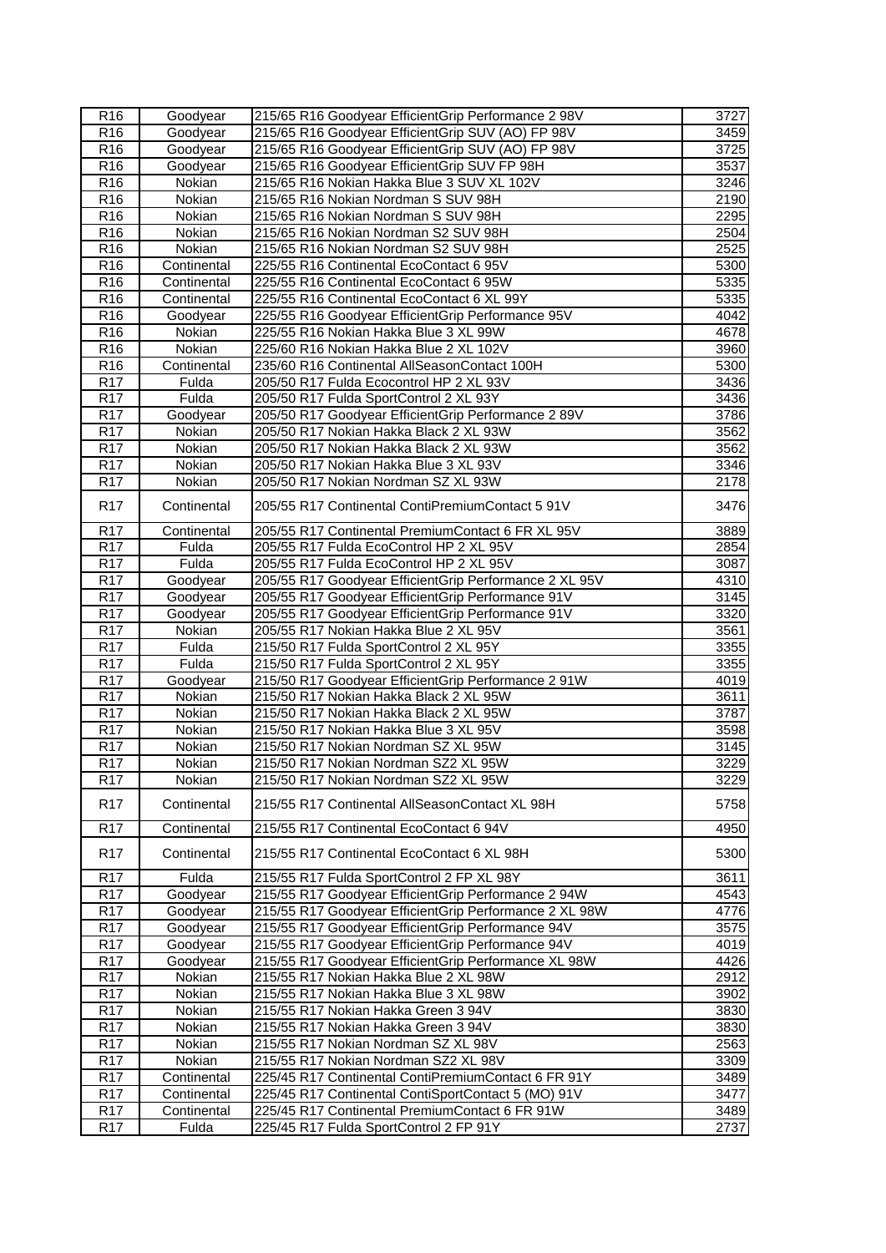| R <sub>16</sub>               | Goodyear         | 215/65 R16 Goodyear EfficientGrip Performance 2 98V                         | 3727         |
|-------------------------------|------------------|-----------------------------------------------------------------------------|--------------|
| R <sub>16</sub>               | Goodyear         | 215/65 R16 Goodyear EfficientGrip SUV (AO) FP 98V                           | 3459         |
| R <sub>16</sub>               | Goodyear         | 215/65 R16 Goodyear EfficientGrip SUV (AO) FP 98V                           | 3725         |
| R <sub>16</sub>               | Goodyear         | 215/65 R16 Goodyear EfficientGrip SUV FP 98H                                | 3537         |
| R <sub>16</sub>               | Nokian           | 215/65 R16 Nokian Hakka Blue 3 SUV XL 102V                                  | 3246         |
| R <sub>16</sub>               | Nokian           | 215/65 R16 Nokian Nordman S SUV 98H                                         | 2190         |
| R <sub>16</sub>               | Nokian           | 215/65 R16 Nokian Nordman S SUV 98H                                         | 2295         |
| R <sub>16</sub>               | Nokian           | 215/65 R16 Nokian Nordman S2 SUV 98H                                        | 2504         |
| $\overline{R}$ 16             | Nokian           | 215/65 R16 Nokian Nordman S2 SUV 98H                                        | 2525         |
| R <sub>16</sub>               | Continental      | 225/55 R16 Continental EcoContact 6 95V                                     | 5300         |
| R16                           | Continental      | 225/55 R16 Continental EcoContact 6 95W                                     | 5335         |
| R <sub>16</sub>               | Continental      | 225/55 R16 Continental EcoContact 6 XL 99Y                                  | 5335         |
| R <sub>16</sub>               | Goodyear         | 225/55 R16 Goodyear EfficientGrip Performance 95V                           | 4042         |
| R <sub>16</sub>               | Nokian           | 225/55 R16 Nokian Hakka Blue 3 XL 99W                                       | 4678         |
| R <sub>16</sub>               | Nokian           | 225/60 R16 Nokian Hakka Blue 2 XL 102V                                      | 3960         |
| $\overline{R}$ 16             | Continental      | 235/60 R16 Continental AllSeasonContact 100H                                | 5300         |
| R <sub>17</sub>               | Fulda            | 205/50 R17 Fulda Ecocontrol HP 2 XL 93V                                     | 3436         |
| <b>R17</b>                    | Fulda            | 205/50 R17 Fulda SportControl 2 XL 93Y                                      | 3436         |
| R <sub>17</sub>               | Goodyear         | 205/50 R17 Goodyear EfficientGrip Performance 2 89V                         | 3786         |
| R <sub>17</sub>               | Nokian           | 205/50 R17 Nokian Hakka Black 2 XL 93W                                      | 3562         |
| R <sub>17</sub>               | Nokian           | 205/50 R17 Nokian Hakka Black 2 XL 93W                                      | 3562         |
| R <sub>17</sub>               | Nokian           | 205/50 R17 Nokian Hakka Blue 3 XL 93V                                       | 3346         |
| R <sub>17</sub>               | Nokian           | 205/50 R17 Nokian Nordman SZ XL 93W                                         | 2178         |
| <b>R17</b>                    | Continental      | 205/55 R17 Continental ContiPremiumContact 5 91V                            | 3476         |
| R <sub>17</sub>               | Continental      | 205/55 R17 Continental PremiumContact 6 FR XL 95V                           | 3889         |
| R <sub>17</sub>               | Fulda            | 205/55 R17 Fulda EcoControl HP 2 XL 95V                                     | 2854         |
| <b>R17</b>                    | Fulda            | 205/55 R17 Fulda EcoControl HP 2 XL 95V                                     | 3087         |
| R <sub>17</sub>               | Goodyear         | 205/55 R17 Goodyear EfficientGrip Performance 2 XL 95V                      | 4310         |
| R <sub>17</sub>               | Goodyear         | 205/55 R17 Goodyear EfficientGrip Performance 91V                           | 3145         |
| <b>R17</b>                    | Goodyear         | 205/55 R17 Goodyear EfficientGrip Performance 91V                           | 3320         |
| R <sub>17</sub>               | Nokian           | 205/55 R17 Nokian Hakka Blue 2 XL 95V                                       | 3561         |
| R <sub>17</sub>               | Fulda            | 215/50 R17 Fulda SportControl 2 XL 95Y                                      | 3355         |
| R <sub>17</sub>               | Fulda            | 215/50 R17 Fulda SportControl 2 XL 95Y                                      | 3355         |
| R <sub>17</sub>               | Goodyear         | 215/50 R17 Goodyear EfficientGrip Performance 2 91W                         | 4019         |
| R <sub>17</sub>               | Nokian           | 215/50 R17 Nokian Hakka Black 2 XL 95W                                      | 3611         |
| <b>R17</b>                    | Nokian           | 215/50 R17 Nokian Hakka Black 2 XL 95W                                      | 3787         |
| R <sub>17</sub>               | Nokian           | 215/50 R17 Nokian Hakka Blue 3 XL 95V                                       | 3598         |
| R17                           | Nokian           | 215/50 R17 Nokian Nordman SZ XL 95W                                         | 3145         |
| R <sub>17</sub>               | Nokian           | 215/50 R17 Nokian Nordman SZ2 XL 95W                                        | 3229         |
| R <sub>17</sub>               | Nokian           | 215/50 R17 Nokian Nordman SZ2 XL 95W                                        | 3229         |
| R <sub>17</sub>               | Continental      | 215/55 R17 Continental AllSeasonContact XL 98H                              | 5758         |
| R <sub>17</sub>               | Continental      | 215/55 R17 Continental EcoContact 6 94V                                     | 4950         |
| R <sub>17</sub>               | Continental      | 215/55 R17 Continental EcoContact 6 XL 98H                                  | 5300         |
| R <sub>17</sub>               | Fulda            | 215/55 R17 Fulda SportControl 2 FP XL 98Y                                   | 3611         |
| <b>R17</b>                    | Goodyear         | 215/55 R17 Goodyear EfficientGrip Performance 2 94W                         | 4543         |
| <b>R17</b>                    | Goodyear         | 215/55 R17 Goodyear EfficientGrip Performance 2 XL 98W                      | 4776         |
| <b>R17</b>                    | Goodyear         | 215/55 R17 Goodyear EfficientGrip Performance 94V                           | 3575         |
| R <sub>17</sub>               | Goodyear         | 215/55 R17 Goodyear EfficientGrip Performance 94V                           | 4019         |
| R <sub>17</sub>               | Goodyear         | 215/55 R17 Goodyear EfficientGrip Performance XL 98W                        | 4426         |
| R <sub>17</sub>               | Nokian           | 215/55 R17 Nokian Hakka Blue 2 XL 98W                                       | 2912         |
| R <sub>17</sub>               | Nokian           | 215/55 R17 Nokian Hakka Blue 3 XL 98W                                       | 3902         |
| R <sub>17</sub>               | Nokian           | 215/55 R17 Nokian Hakka Green 3 94V                                         | 3830         |
| <b>R17</b>                    | Nokian           | 215/55 R17 Nokian Hakka Green 3 94V                                         | 3830         |
| R <sub>17</sub>               | Nokian<br>Nokian | 215/55 R17 Nokian Nordman SZ XL 98V<br>215/55 R17 Nokian Nordman SZ2 XL 98V | 2563         |
| R <sub>17</sub><br><b>R17</b> | Continental      | 225/45 R17 Continental ContiPremiumContact 6 FR 91Y                         | 3309<br>3489 |
| R <sub>17</sub>               | Continental      | 225/45 R17 Continental ContiSportContact 5 (MO) 91V                         | 3477         |
| R <sub>17</sub>               | Continental      | 225/45 R17 Continental PremiumContact 6 FR 91W                              | 3489         |
| R <sub>17</sub>               | Fulda            | 225/45 R17 Fulda SportControl 2 FP 91Y                                      | 2737         |
|                               |                  |                                                                             |              |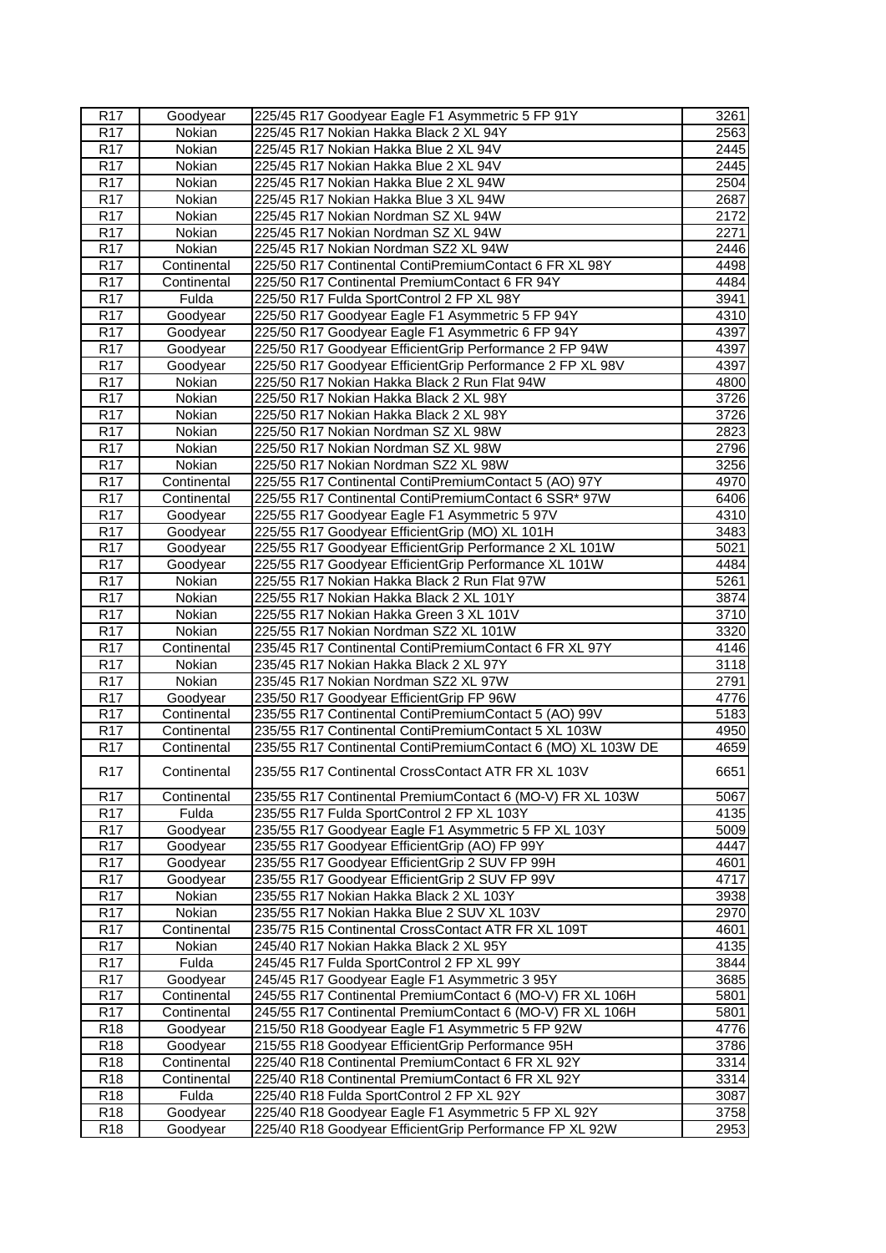| R <sub>17</sub>        | Goodyear             | 225/45 R17 Goodyear Eagle F1 Asymmetric 5 FP 91Y                                                               | 3261               |
|------------------------|----------------------|----------------------------------------------------------------------------------------------------------------|--------------------|
| R <sub>17</sub>        | Nokian               | 225/45 R17 Nokian Hakka Black 2 XL 94Y                                                                         | 2563               |
| R <sub>17</sub>        | Nokian               | 225/45 R17 Nokian Hakka Blue 2 XL 94V                                                                          | $\overline{2}$ 445 |
| R <sub>17</sub>        | Nokian               | 225/45 R17 Nokian Hakka Blue 2 XL 94V                                                                          | 2445               |
| R <sub>17</sub>        | Nokian               | 225/45 R17 Nokian Hakka Blue 2 XL 94W                                                                          | 2504               |
| R <sub>17</sub>        | Nokian               | 225/45 R17 Nokian Hakka Blue 3 XL 94W                                                                          | 2687               |
| R <sub>17</sub>        | Nokian               | 225/45 R17 Nokian Nordman SZ XL 94W                                                                            | 2172               |
| R <sub>17</sub>        | Nokian               | 225/45 R17 Nokian Nordman SZ XL 94W                                                                            | 2271               |
| R <sub>17</sub>        | Nokian               | 225/45 R17 Nokian Nordman SZ2 XL 94W                                                                           | 2446               |
| R <sub>17</sub>        | Continental          | 225/50 R17 Continental ContiPremiumContact 6 FR XL 98Y                                                         | 4498               |
| R <sub>17</sub>        | Continental          | 225/50 R17 Continental PremiumContact 6 FR 94Y                                                                 | 4484               |
| R <sub>17</sub>        | Fulda                | 225/50 R17 Fulda SportControl 2 FP XL 98Y                                                                      | 3941               |
| R <sub>17</sub>        | Goodyear             | 225/50 R17 Goodyear Eagle F1 Asymmetric 5 FP 94Y                                                               | 4310               |
| R <sub>17</sub>        | Goodyear             | 225/50 R17 Goodyear Eagle F1 Asymmetric 6 FP 94Y                                                               | 4397               |
| R <sub>17</sub>        | Goodyear             | 225/50 R17 Goodyear EfficientGrip Performance 2 FP 94W                                                         | 4397               |
| R <sub>17</sub>        | Goodyear             | 225/50 R17 Goodyear EfficientGrip Performance 2 FP XL 98V                                                      | 4397               |
| R <sub>17</sub>        | Nokian               | 225/50 R17 Nokian Hakka Black 2 Run Flat 94W                                                                   | 4800               |
| <b>R17</b>             | Nokian               | 225/50 R17 Nokian Hakka Black 2 XL 98Y                                                                         | 3726               |
| R <sub>17</sub>        | Nokian               | 225/50 R17 Nokian Hakka Black 2 XL 98Y                                                                         | 3726               |
| R <sub>17</sub>        | Nokian               | 225/50 R17 Nokian Nordman SZ XL 98W                                                                            | 2823               |
| R <sub>17</sub>        | Nokian               | 225/50 R17 Nokian Nordman SZ XL 98W                                                                            | 2796               |
| R <sub>17</sub>        | Nokian               | 225/50 R17 Nokian Nordman SZ2 XL 98W                                                                           | 3256               |
| R <sub>17</sub>        | Continental          | 225/55 R17 Continental ContiPremiumContact 5 (AO) 97Y                                                          | 4970               |
| R <sub>17</sub>        | Continental          | 225/55 R17 Continental ContiPremiumContact 6 SSR* 97W                                                          | 6406               |
| R <sub>17</sub>        | Goodyear             | 225/55 R17 Goodyear Eagle F1 Asymmetric 5 97V                                                                  | 4310               |
| R <sub>17</sub>        | Goodyear             | 225/55 R17 Goodyear EfficientGrip (MO) XL 101H                                                                 | 3483               |
| R <sub>17</sub>        | Goodyear             | 225/55 R17 Goodyear EfficientGrip Performance 2 XL 101W                                                        | 5021               |
| R <sub>17</sub>        | Goodyear             | 225/55 R17 Goodyear EfficientGrip Performance XL 101W                                                          | 4484               |
| R <sub>17</sub>        | Nokian               | 225/55 R17 Nokian Hakka Black 2 Run Flat 97W                                                                   | 5261               |
| R <sub>17</sub>        | Nokian               | 225/55 R17 Nokian Hakka Black 2 XL 101Y                                                                        | 3874               |
| R <sub>17</sub>        | Nokian               | 225/55 R17 Nokian Hakka Green 3 XL 101V                                                                        | 3710               |
| R17                    | Nokian               | 225/55 R17 Nokian Nordman SZ2 XL 101W                                                                          | 3320               |
| R <sub>17</sub>        | Continental          | 235/45 R17 Continental ContiPremiumContact 6 FR XL 97Y                                                         | 4146               |
| R <sub>17</sub>        | Nokian               | 235/45 R17 Nokian Hakka Black 2 XL 97Y                                                                         | 3118               |
| R <sub>17</sub>        | Nokian               | 235/45 R17 Nokian Nordman SZ2 XL 97W                                                                           | 2791               |
| R <sub>17</sub>        | Goodyear             | 235/50 R17 Goodyear EfficientGrip FP 96W                                                                       | 4776               |
| R <sub>17</sub>        | Continental          | 235/55 R17 Continental ContiPremiumContact 5 (AO) 99V                                                          | 5183               |
| R <sub>17</sub>        | Continental          | 235/55 R17 Continental ContiPremiumContact 5 XL 103W                                                           | 4950               |
| R <sub>17</sub>        | Continental          | 235/55 R17 Continental ContiPremiumContact 6 (MO) XL 103W DE                                                   | 4659               |
| R <sub>17</sub>        | Continental          | 235/55 R17 Continental CrossContact ATR FR XL 103V                                                             | 6651               |
| R <sub>17</sub>        | Continental          | 235/55 R17 Continental PremiumContact 6 (MO-V) FR XL 103W                                                      | 5067               |
| R <sub>17</sub>        | Fulda                | 235/55 R17 Fulda SportControl 2 FP XL 103Y                                                                     | 4135               |
| <b>R17</b>             | Goodyear             | 235/55 R17 Goodyear Eagle F1 Asymmetric 5 FP XL 103Y                                                           | 5009               |
| R <sub>17</sub>        | Goodyear             | 235/55 R17 Goodyear EfficientGrip (AO) FP 99Y                                                                  | 4447               |
| R <sub>17</sub>        | Goodyear             | 235/55 R17 Goodyear EfficientGrip 2 SUV FP 99H                                                                 | 4601               |
| <b>R17</b>             | Goodyear             | 235/55 R17 Goodyear EfficientGrip 2 SUV FP 99V                                                                 | 4717               |
| R <sub>17</sub>        | Nokian               | 235/55 R17 Nokian Hakka Black 2 XL 103Y                                                                        | 3938               |
| R <sub>17</sub>        | Nokian               | 235/55 R17 Nokian Hakka Blue 2 SUV XL 103V                                                                     | 2970               |
| R <sub>17</sub>        | Continental          | 235/75 R15 Continental CrossContact ATR FR XL 109T                                                             | 4601               |
| R <sub>17</sub>        | Nokian               | 245/40 R17 Nokian Hakka Black 2 XL 95Y                                                                         | 4135               |
| R17                    | Fulda                | 245/45 R17 Fulda SportControl 2 FP XL 99Y                                                                      | 3844               |
| R17                    | Goodyear             | 245/45 R17 Goodyear Eagle F1 Asymmetric 3 95Y                                                                  | 3685               |
| R <sub>17</sub>        | Continental          | 245/55 R17 Continental PremiumContact 6 (MO-V) FR XL 106H                                                      | 5801               |
| R <sub>17</sub>        | Continental          | 245/55 R17 Continental PremiumContact 6 (MO-V) FR XL 106H                                                      | 5801               |
| R <sub>18</sub>        | Goodyear             | 215/50 R18 Goodyear Eagle F1 Asymmetric 5 FP 92W                                                               | 4776               |
| R <sub>18</sub>        | Goodyear             | 215/55 R18 Goodyear EfficientGrip Performance 95H                                                              | 3786               |
|                        |                      |                                                                                                                |                    |
| R <sub>18</sub>        | Continental          | 225/40 R18 Continental PremiumContact 6 FR XL 92Y                                                              | 3314               |
| R <sub>18</sub>        | Continental          | 225/40 R18 Continental PremiumContact 6 FR XL 92Y                                                              | 3314               |
| R <sub>18</sub>        | Fulda                | 225/40 R18 Fulda SportControl 2 FP XL 92Y                                                                      | 3087               |
| R18<br>R <sub>18</sub> | Goodyear<br>Goodyear | 225/40 R18 Goodyear Eagle F1 Asymmetric 5 FP XL 92Y<br>225/40 R18 Goodyear EfficientGrip Performance FP XL 92W | 3758<br>2953       |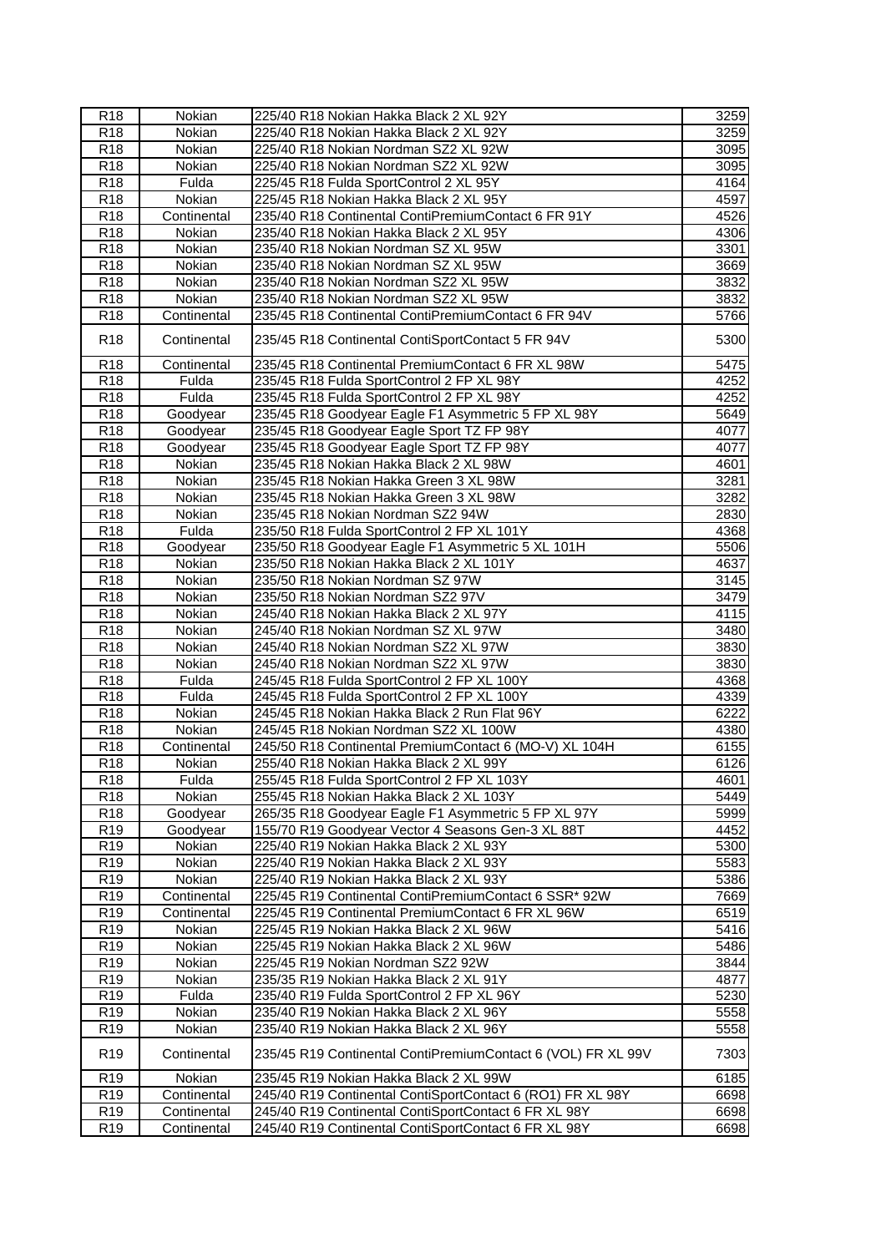| R <sub>18</sub>  | Nokian        | 225/40 R18 Nokian Hakka Black 2 XL 92Y                       | 3259 |
|------------------|---------------|--------------------------------------------------------------|------|
| R <sub>18</sub>  | <b>Nokian</b> | 225/40 R18 Nokian Hakka Black 2 XL 92Y                       | 3259 |
| R <sub>18</sub>  | Nokian        | 225/40 R18 Nokian Nordman SZ2 XL 92W                         | 3095 |
| R <sub>18</sub>  | Nokian        | 225/40 R18 Nokian Nordman SZ2 XL 92W                         | 3095 |
| R <sub>18</sub>  | Fulda         | 225/45 R18 Fulda SportControl 2 XL 95Y                       | 4164 |
| R <sub>18</sub>  | Nokian        | 225/45 R18 Nokian Hakka Black 2 XL 95Y                       | 4597 |
| R <sub>18</sub>  | Continental   | 235/40 R18 Continental ContiPremiumContact 6 FR 91Y          | 4526 |
| R <sub>18</sub>  | Nokian        | 235/40 R18 Nokian Hakka Black 2 XL 95Y                       | 4306 |
| R <sub>18</sub>  | Nokian        | 235/40 R18 Nokian Nordman SZ XL 95W                          | 3301 |
| R <sub>18</sub>  | Nokian        | 235/40 R18 Nokian Nordman SZ XL 95W                          | 3669 |
| R18              | Nokian        | 235/40 R18 Nokian Nordman SZ2 XL 95W                         | 3832 |
| R <sub>18</sub>  | Nokian        | 235/40 R18 Nokian Nordman SZ2 XL 95W                         | 3832 |
| R <sub>18</sub>  | Continental   | 235/45 R18 Continental ContiPremiumContact 6 FR 94V          | 5766 |
| R <sub>18</sub>  | Continental   | 235/45 R18 Continental ContiSportContact 5 FR 94V            | 5300 |
| R <sub>18</sub>  | Continental   | 235/45 R18 Continental PremiumContact 6 FR XL 98W            | 5475 |
| R <sub>18</sub>  | Fulda         | 235/45 R18 Fulda SportControl 2 FP XL 98Y                    | 4252 |
| R <sub>18</sub>  | Fulda         | 235/45 R18 Fulda SportControl 2 FP XL 98Y                    | 4252 |
| R <sub>18</sub>  | Goodyear      | 235/45 R18 Goodyear Eagle F1 Asymmetric 5 FP XL 98Y          | 5649 |
| R <sub>18</sub>  | Goodyear      | 235/45 R18 Goodyear Eagle Sport TZ FP 98Y                    | 4077 |
| R <sub>18</sub>  | Goodyear      | 235/45 R18 Goodyear Eagle Sport TZ FP 98Y                    | 4077 |
| R <sub>18</sub>  | Nokian        | 235/45 R18 Nokian Hakka Black 2 XL 98W                       | 4601 |
| <b>R18</b>       | Nokian        | 235/45 R18 Nokian Hakka Green 3 XL 98W                       | 3281 |
| R <sub>18</sub>  | Nokian        | 235/45 R18 Nokian Hakka Green 3 XL 98W                       | 3282 |
| R <sub>18</sub>  | Nokian        | 235/45 R18 Nokian Nordman SZ2 94W                            | 2830 |
| R <sub>18</sub>  | Fulda         | 235/50 R18 Fulda SportControl 2 FP XL 101Y                   | 4368 |
| R <sub>18</sub>  | Goodyear      | 235/50 R18 Goodyear Eagle F1 Asymmetric 5 XL 101H            | 5506 |
| R <sub>18</sub>  | Nokian        | 235/50 R18 Nokian Hakka Black 2 XL 101Y                      | 4637 |
| R <sub>18</sub>  | Nokian        | 235/50 R18 Nokian Nordman SZ 97W                             | 3145 |
| $\overline{R18}$ | Nokian        | 235/50 R18 Nokian Nordman SZ2 97V                            | 3479 |
| R <sub>18</sub>  | Nokian        | 245/40 R18 Nokian Hakka Black 2 XL 97Y                       | 4115 |
| R <sub>18</sub>  | Nokian        | 245/40 R18 Nokian Nordman SZ XL 97W                          | 3480 |
| R <sub>18</sub>  | Nokian        | 245/40 R18 Nokian Nordman SZ2 XL 97W                         | 3830 |
| R <sub>18</sub>  | Nokian        | 245/40 R18 Nokian Nordman SZ2 XL 97W                         | 3830 |
| R <sub>18</sub>  | Fulda         | 245/45 R18 Fulda SportControl 2 FP XL 100Y                   | 4368 |
| R <sub>18</sub>  | Fulda         | 245/45 R18 Fulda SportControl 2 FP XL 100Y                   | 4339 |
| R <sub>18</sub>  | Nokian        | 245/45 R18 Nokian Hakka Black 2 Run Flat 96Y                 | 6222 |
| R <sub>18</sub>  | Nokian        | 245/45 R18 Nokian Nordman SZ2 XL 100W                        | 4380 |
| R18              | Continental   | 245/50 R18 Continental PremiumContact 6 (MO-V) XL 104H       | 6155 |
| R <sub>18</sub>  | Nokian        | 255/40 R18 Nokian Hakka Black 2 XL 99Y                       | 6126 |
| R <sub>18</sub>  | Fulda         | 255/45 R18 Fulda SportControl 2 FP XL 103Y                   | 4601 |
| R <sub>18</sub>  | Nokian        | 255/45 R18 Nokian Hakka Black 2 XL 103Y                      | 5449 |
| R18              | Goodyear      | 265/35 R18 Goodyear Eagle F1 Asymmetric 5 FP XL 97Y          | 5999 |
| R <sub>19</sub>  | Goodyear      | 155/70 R19 Goodyear Vector 4 Seasons Gen-3 XL 88T            | 4452 |
| R <sub>19</sub>  | Nokian        | 225/40 R19 Nokian Hakka Black 2 XL 93Y                       | 5300 |
| R <sub>19</sub>  | Nokian        | 225/40 R19 Nokian Hakka Black 2 XL 93Y                       | 5583 |
| R <sub>19</sub>  | Nokian        | 225/40 R19 Nokian Hakka Black 2 XL 93Y                       | 5386 |
| R19              | Continental   | 225/45 R19 Continental ContiPremiumContact 6 SSR* 92W        | 7669 |
| R <sub>19</sub>  | Continental   | 225/45 R19 Continental PremiumContact 6 FR XL 96W            | 6519 |
| R <sub>19</sub>  | Nokian        | 225/45 R19 Nokian Hakka Black 2 XL 96W                       | 5416 |
| R <sub>19</sub>  | Nokian        | 225/45 R19 Nokian Hakka Black 2 XL 96W                       | 5486 |
| R <sub>19</sub>  | Nokian        | 225/45 R19 Nokian Nordman SZ2 92W                            | 3844 |
| R <sub>19</sub>  | Nokian        | 235/35 R19 Nokian Hakka Black 2 XL 91Y                       | 4877 |
| R <sub>19</sub>  | Fulda         | 235/40 R19 Fulda SportControl 2 FP XL 96Y                    | 5230 |
| R <sub>19</sub>  | Nokian        | 235/40 R19 Nokian Hakka Black 2 XL 96Y                       | 5558 |
| R <sub>19</sub>  | Nokian        | 235/40 R19 Nokian Hakka Black 2 XL 96Y                       | 5558 |
| R <sub>19</sub>  | Continental   | 235/45 R19 Continental ContiPremiumContact 6 (VOL) FR XL 99V | 7303 |
| R <sub>19</sub>  | Nokian        | 235/45 R19 Nokian Hakka Black 2 XL 99W                       | 6185 |
| R <sub>19</sub>  | Continental   | 245/40 R19 Continental ContiSportContact 6 (RO1) FR XL 98Y   | 6698 |
| R <sub>19</sub>  | Continental   | 245/40 R19 Continental ContiSportContact 6 FR XL 98Y         | 6698 |
| R <sub>19</sub>  |               | 245/40 R19 Continental ContiSportContact 6 FR XL 98Y         | 6698 |
|                  | Continental   |                                                              |      |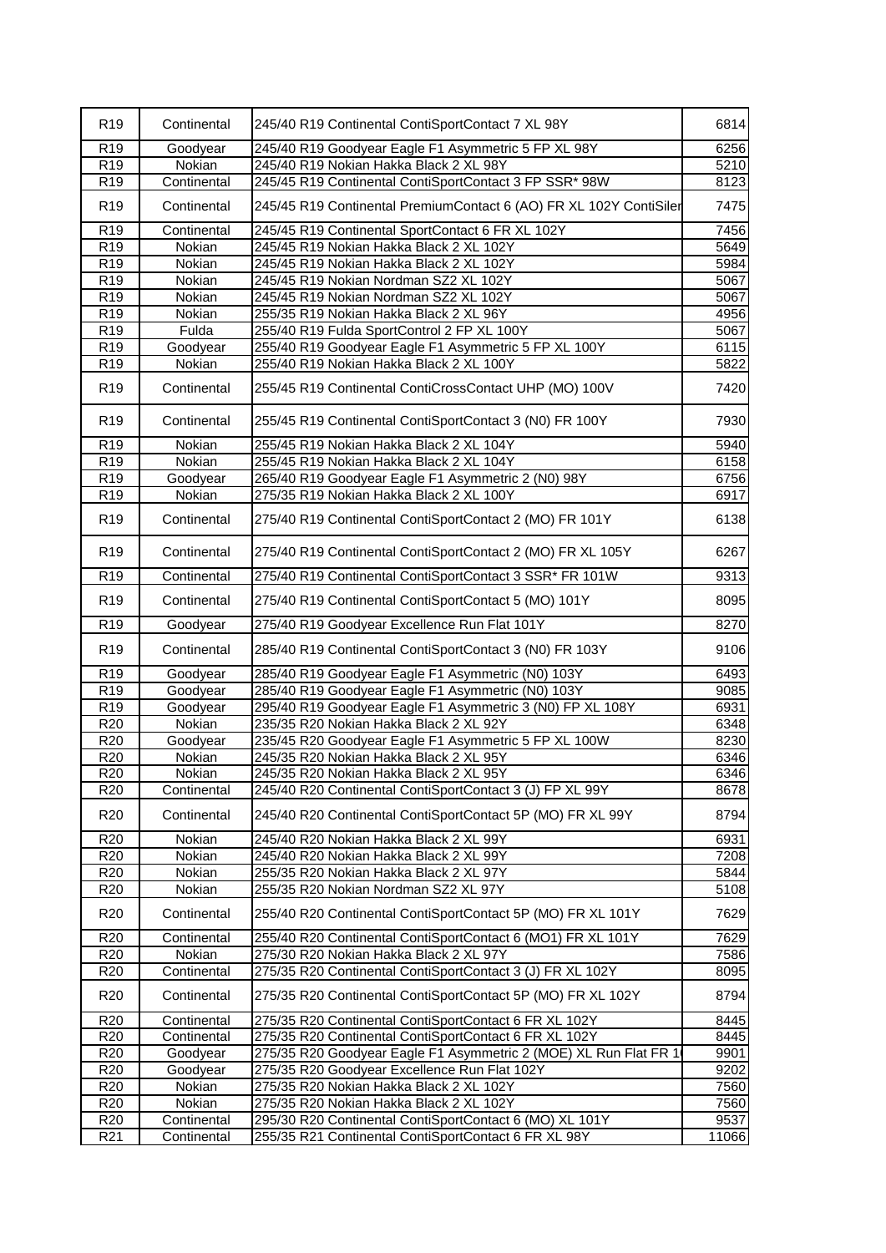| R <sub>19</sub> | Continental | 245/40 R19 Continental ContiSportContact 7 XL 98Y                  | 6814  |
|-----------------|-------------|--------------------------------------------------------------------|-------|
| R <sub>19</sub> | Goodyear    | 245/40 R19 Goodyear Eagle F1 Asymmetric 5 FP XL 98Y                | 6256  |
| R19             | Nokian      | 245/40 R19 Nokian Hakka Black 2 XL 98Y                             | 5210  |
| R <sub>19</sub> | Continental | 245/45 R19 Continental ContiSportContact 3 FP SSR* 98W             | 8123  |
| R <sub>19</sub> | Continental | 245/45 R19 Continental PremiumContact 6 (AO) FR XL 102Y ContiSiler | 7475  |
| R <sub>19</sub> | Continental | 245/45 R19 Continental SportContact 6 FR XL 102Y                   | 7456  |
| R <sub>19</sub> | Nokian      | 245/45 R19 Nokian Hakka Black 2 XL 102Y                            | 5649  |
| R19             | Nokian      | 245/45 R19 Nokian Hakka Black 2 XL 102Y                            | 5984  |
| R <sub>19</sub> | Nokian      | 245/45 R19 Nokian Nordman SZ2 XL 102Y                              | 5067  |
| R19             | Nokian      | 245/45 R19 Nokian Nordman SZ2 XL 102Y                              | 5067  |
| R <sub>19</sub> | Nokian      | 255/35 R19 Nokian Hakka Black 2 XL 96Y                             | 4956  |
| R <sub>19</sub> | Fulda       | 255/40 R19 Fulda SportControl 2 FP XL 100Y                         | 5067  |
| R <sub>19</sub> | Goodyear    | 255/40 R19 Goodyear Eagle F1 Asymmetric 5 FP XL 100Y               | 6115  |
| R <sub>19</sub> | Nokian      | 255/40 R19 Nokian Hakka Black 2 XL 100Y                            | 5822  |
| R <sub>19</sub> | Continental | 255/45 R19 Continental ContiCrossContact UHP (MO) 100V             | 7420  |
| R <sub>19</sub> | Continental | 255/45 R19 Continental ContiSportContact 3 (N0) FR 100Y            | 7930  |
| R <sub>19</sub> | Nokian      | 255/45 R19 Nokian Hakka Black 2 XL 104Y                            | 5940  |
| R <sub>19</sub> | Nokian      | 255/45 R19 Nokian Hakka Black 2 XL 104Y                            | 6158  |
| R <sub>19</sub> | Goodyear    | 265/40 R19 Goodyear Eagle F1 Asymmetric 2 (N0) 98Y                 | 6756  |
| R <sub>19</sub> | Nokian      | 275/35 R19 Nokian Hakka Black 2 XL 100Y                            | 6917  |
| R <sub>19</sub> | Continental | 275/40 R19 Continental ContiSportContact 2 (MO) FR 101Y            | 6138  |
| R <sub>19</sub> | Continental | 275/40 R19 Continental ContiSportContact 2 (MO) FR XL 105Y         | 6267  |
| R <sub>19</sub> | Continental | 275/40 R19 Continental ContiSportContact 3 SSR* FR 101W            | 9313  |
| R <sub>19</sub> | Continental | 275/40 R19 Continental ContiSportContact 5 (MO) 101Y               | 8095  |
| R19             | Goodyear    | 275/40 R19 Goodyear Excellence Run Flat 101Y                       | 8270  |
| R <sub>19</sub> | Continental | 285/40 R19 Continental ContiSportContact 3 (N0) FR 103Y            | 9106  |
| R <sub>19</sub> | Goodyear    | 285/40 R19 Goodyear Eagle F1 Asymmetric (N0) 103Y                  | 6493  |
| R <sub>19</sub> | Goodyear    | 285/40 R19 Goodyear Eagle F1 Asymmetric (N0) 103Y                  | 9085  |
| R <sub>19</sub> | Goodyear    | 295/40 R19 Goodyear Eagle F1 Asymmetric 3 (N0) FP XL 108Y          | 6931  |
| R20             | Nokian      | 235/35 R20 Nokian Hakka Black 2 XL 92Y                             | 6348  |
| R <sub>20</sub> | Goodyear    | 235/45 R20 Goodyear Eagle F1 Asymmetric 5 FP XL 100W               | 8230  |
| R20             | Nokian      | 245/35 R20 Nokian Hakka Black 2 XL 95Y                             | 6346  |
| R <sub>20</sub> | Nokian      | 245/35 R20 Nokian Hakka Black 2 XL 95Y                             | 6346  |
| R <sub>20</sub> | Continental | 245/40 R20 Continental ContiSportContact 3 (J) FP XL 99Y           | 8678  |
| R <sub>20</sub> | Continental | 245/40 R20 Continental ContiSportContact 5P (MO) FR XL 99Y         | 8794  |
| R <sub>20</sub> | Nokian      | 245/40 R20 Nokian Hakka Black 2 XL 99Y                             | 6931  |
| R <sub>20</sub> | Nokian      | 245/40 R20 Nokian Hakka Black 2 XL 99Y                             | 7208  |
| R <sub>20</sub> | Nokian      | 255/35 R20 Nokian Hakka Black 2 XL 97Y                             | 5844  |
| R <sub>20</sub> | Nokian      | 255/35 R20 Nokian Nordman SZ2 XL 97Y                               | 5108  |
| R <sub>20</sub> | Continental | 255/40 R20 Continental ContiSportContact 5P (MO) FR XL 101Y        | 7629  |
| R <sub>20</sub> | Continental | 255/40 R20 Continental ContiSportContact 6 (MO1) FR XL 101Y        | 7629  |
| R <sub>20</sub> | Nokian      | 275/30 R20 Nokian Hakka Black 2 XL 97Y                             | 7586  |
| R <sub>20</sub> | Continental | 275/35 R20 Continental ContiSportContact 3 (J) FR XL 102Y          | 8095  |
| R <sub>20</sub> | Continental | 275/35 R20 Continental ContiSportContact 5P (MO) FR XL 102Y        | 8794  |
| R <sub>20</sub> | Continental | 275/35 R20 Continental ContiSportContact 6 FR XL 102Y              | 8445  |
| R <sub>20</sub> | Continental | 275/35 R20 Continental ContiSportContact 6 FR XL 102Y              | 8445  |
| R <sub>20</sub> | Goodyear    | 275/35 R20 Goodyear Eagle F1 Asymmetric 2 (MOE) XL Run Flat FR 1   | 9901  |
| R <sub>20</sub> | Goodyear    | 275/35 R20 Goodyear Excellence Run Flat 102Y                       | 9202  |
| R <sub>20</sub> | Nokian      | 275/35 R20 Nokian Hakka Black 2 XL 102Y                            | 7560  |
| R20             | Nokian      | 275/35 R20 Nokian Hakka Black 2 XL 102Y                            | 7560  |
| R <sub>20</sub> | Continental | 295/30 R20 Continental ContiSportContact 6 (MO) XL 101Y            | 9537  |
| R <sub>21</sub> | Continental | 255/35 R21 Continental ContiSportContact 6 FR XL 98Y               | 11066 |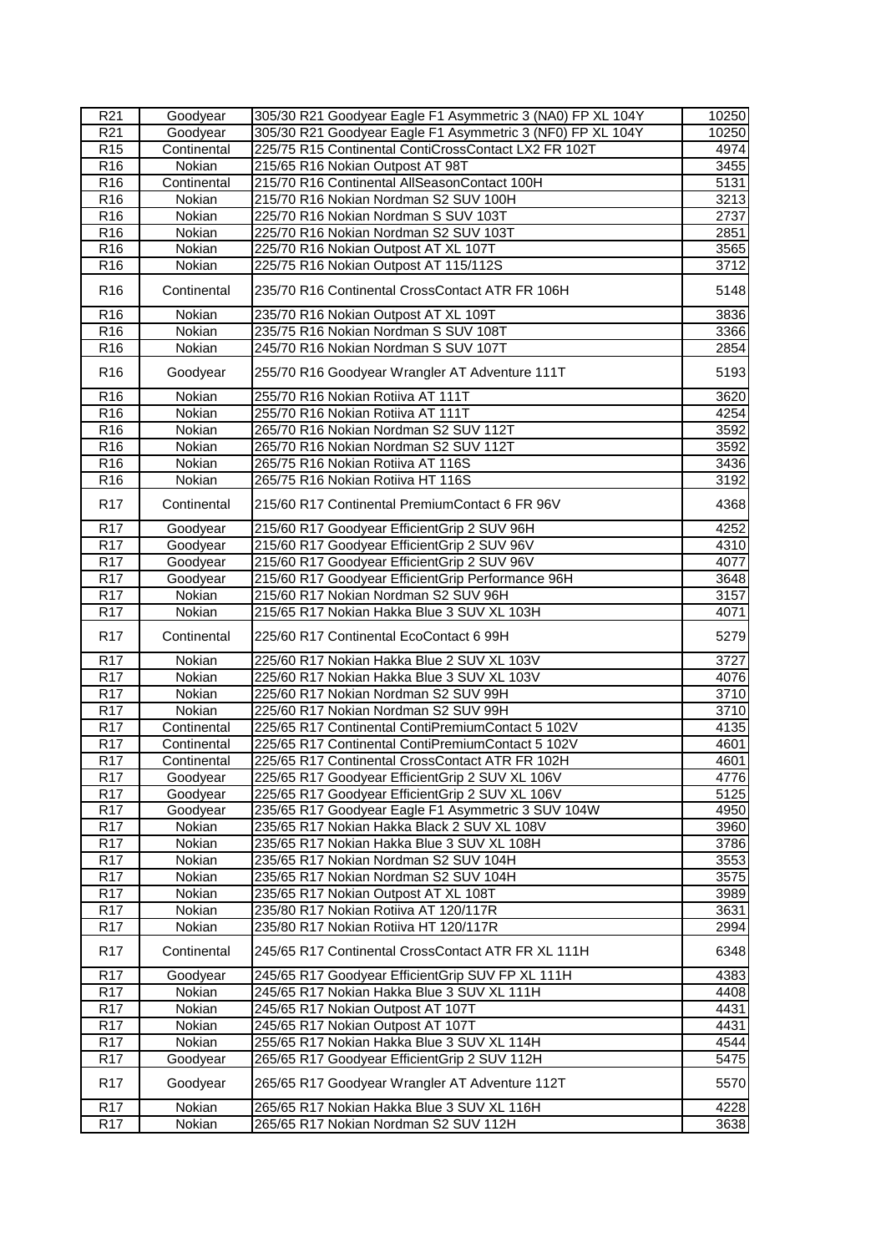| R <sub>21</sub>  | Goodyear      | 305/30 R21 Goodyear Eagle F1 Asymmetric 3 (NA0) FP XL 104Y | 10250 |
|------------------|---------------|------------------------------------------------------------|-------|
| R <sub>21</sub>  | Goodyear      | 305/30 R21 Goodyear Eagle F1 Asymmetric 3 (NF0) FP XL 104Y | 10250 |
| R <sub>15</sub>  | Continental   | 225/75 R15 Continental ContiCrossContact LX2 FR 102T       | 4974  |
| R <sub>16</sub>  | Nokian        | 215/65 R16 Nokian Outpost AT 98T                           | 3455  |
| R <sub>16</sub>  | Continental   | 215/70 R16 Continental AllSeasonContact 100H               | 5131  |
| R <sub>16</sub>  | Nokian        | 215/70 R16 Nokian Nordman S2 SUV 100H                      | 3213  |
| R <sub>16</sub>  | Nokian        | 225/70 R16 Nokian Nordman S SUV 103T                       | 2737  |
| R <sub>16</sub>  | Nokian        | 225/70 R16 Nokian Nordman S2 SUV 103T                      | 2851  |
| R <sub>16</sub>  | Nokian        | 225/70 R16 Nokian Outpost AT XL 107T                       | 3565  |
| R <sub>16</sub>  | Nokian        | 225/75 R16 Nokian Outpost AT 115/112S                      | 3712  |
| R <sub>16</sub>  | Continental   | 235/70 R16 Continental CrossContact ATR FR 106H            | 5148  |
| R <sub>16</sub>  | Nokian        | 235/70 R16 Nokian Outpost AT XL 109T                       | 3836  |
| R <sub>16</sub>  | Nokian        | 235/75 R16 Nokian Nordman S SUV 108T                       | 3366  |
| R <sub>16</sub>  | Nokian        | 245/70 R16 Nokian Nordman S SUV 107T                       | 2854  |
| R <sub>16</sub>  | Goodyear      | 255/70 R16 Goodyear Wrangler AT Adventure 111T             | 5193  |
| R <sub>16</sub>  | Nokian        | 255/70 R16 Nokian Rotiiva AT 111T                          | 3620  |
| R <sub>16</sub>  | Nokian        | 255/70 R16 Nokian Rotiiva AT 111T                          | 4254  |
| R <sub>16</sub>  | Nokian        | 265/70 R16 Nokian Nordman S2 SUV 112T                      | 3592  |
| R <sub>16</sub>  | Nokian        | 265/70 R16 Nokian Nordman S2 SUV 112T                      | 3592  |
| R <sub>16</sub>  | Nokian        | 265/75 R16 Nokian Rotiiva AT 116S                          | 3436  |
| R <sub>16</sub>  | <b>Nokian</b> | 265/75 R16 Nokian Rotiiva HT 116S                          | 3192  |
| R <sub>17</sub>  | Continental   | 215/60 R17 Continental PremiumContact 6 FR 96V             | 4368  |
| R <sub>17</sub>  | Goodyear      | 215/60 R17 Goodyear EfficientGrip 2 SUV 96H                | 4252  |
| R <sub>17</sub>  | Goodyear      | 215/60 R17 Goodyear EfficientGrip 2 SUV 96V                | 4310  |
| R <sub>17</sub>  | Goodyear      | 215/60 R17 Goodyear EfficientGrip 2 SUV 96V                | 4077  |
| R <sub>17</sub>  | Goodyear      | 215/60 R17 Goodyear EfficientGrip Performance 96H          | 3648  |
| <b>R17</b>       | Nokian        | 215/60 R17 Nokian Nordman S2 SUV 96H                       | 3157  |
| R <sub>17</sub>  | Nokian        | 215/65 R17 Nokian Hakka Blue 3 SUV XL 103H                 | 4071  |
| R <sub>17</sub>  | Continental   | 225/60 R17 Continental EcoContact 6 99H                    | 5279  |
| R <sub>17</sub>  | Nokian        | 225/60 R17 Nokian Hakka Blue 2 SUV XL 103V                 | 3727  |
| <b>R17</b>       | Nokian        | 225/60 R17 Nokian Hakka Blue 3 SUV XL 103V                 | 4076  |
| <b>R17</b>       | Nokian        | 225/60 R17 Nokian Nordman S2 SUV 99H                       | 3710  |
| <b>R17</b>       | Nokian        | 225/60 R17 Nokian Nordman S2 SUV 99H                       | 3710  |
| <b>R17</b>       | Continental   | 225/65 R17 Continental ContiPremiumContact 5 102V          | 4135  |
| <b>R17</b>       | Continental   | 225/65 R17 Continental ContiPremiumContact 5 102V          | 4601  |
| R <sub>17</sub>  | Continental   | 225/65 R17 Continental CrossContact ATR FR 102H            | 4601  |
| R <sub>17</sub>  | Goodyear      | 225/65 R17 Goodyear EfficientGrip 2 SUV XL 106V            | 4776  |
| R <sub>17</sub>  | Goodyear      | 225/65 R17 Goodyear EfficientGrip 2 SUV XL 106V            | 5125  |
| R <sub>17</sub>  | Goodyear      | 235/65 R17 Goodyear Eagle F1 Asymmetric 3 SUV 104W         | 4950  |
| R17              | Nokian        | 235/65 R17 Nokian Hakka Black 2 SUV XL 108V                | 3960  |
| R <sub>17</sub>  | Nokian        | 235/65 R17 Nokian Hakka Blue 3 SUV XL 108H                 | 3786  |
| R <sub>17</sub>  | Nokian        | 235/65 R17 Nokian Nordman S2 SUV 104H                      | 3553  |
| R <sub>17</sub>  | Nokian        | 235/65 R17 Nokian Nordman S2 SUV 104H                      | 3575  |
| R <sub>17</sub>  | Nokian        | 235/65 R17 Nokian Outpost AT XL 108T                       | 3989  |
| $\overline{R17}$ | Nokian        | 235/80 R17 Nokian Rotiiva AT 120/117R                      | 3631  |
| R <sub>17</sub>  | Nokian        | 235/80 R17 Nokian Rotiiva HT 120/117R                      | 2994  |
| R <sub>17</sub>  | Continental   | 245/65 R17 Continental CrossContact ATR FR XL 111H         | 6348  |
| R <sub>17</sub>  | Goodyear      | 245/65 R17 Goodyear EfficientGrip SUV FP XL 111H           | 4383  |
| R <sub>17</sub>  | Nokian        | 245/65 R17 Nokian Hakka Blue 3 SUV XL 111H                 | 4408  |
| R <sub>17</sub>  | Nokian        | 245/65 R17 Nokian Outpost AT 107T                          | 4431  |
| R <sub>17</sub>  | Nokian        | 245/65 R17 Nokian Outpost AT 107T                          | 4431  |
| R <sub>17</sub>  | Nokian        | 255/65 R17 Nokian Hakka Blue 3 SUV XL 114H                 | 4544  |
| <b>R17</b>       | Goodyear      | 265/65 R17 Goodyear EfficientGrip 2 SUV 112H               | 5475  |
| R <sub>17</sub>  | Goodyear      | 265/65 R17 Goodyear Wrangler AT Adventure 112T             | 5570  |
| R <sub>17</sub>  | Nokian        | 265/65 R17 Nokian Hakka Blue 3 SUV XL 116H                 | 4228  |
| R <sub>17</sub>  | Nokian        | 265/65 R17 Nokian Nordman S2 SUV 112H                      | 3638  |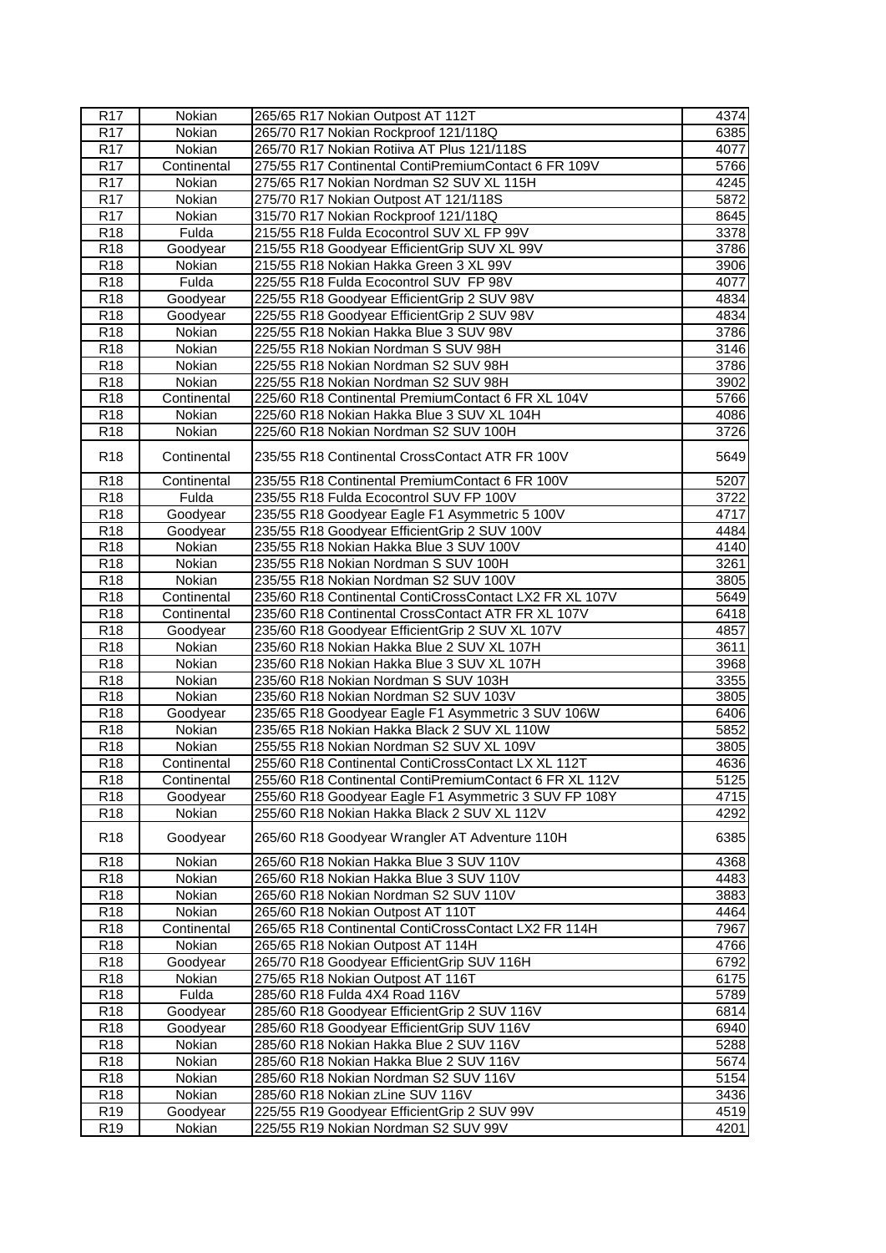| R <sub>17</sub>                    | Nokian                     | 265/65 R17 Nokian Outpost AT 112T                                                                             | 4374         |
|------------------------------------|----------------------------|---------------------------------------------------------------------------------------------------------------|--------------|
| <b>R17</b>                         | Nokian                     | 265/70 R17 Nokian Rockproof 121/118Q                                                                          | 6385         |
| <b>R17</b>                         | Nokian                     | 265/70 R17 Nokian Rotiiva AT Plus 121/118S                                                                    | 4077         |
| R <sub>17</sub>                    | Continental                | 275/55 R17 Continental ContiPremiumContact 6 FR 109V                                                          | 5766         |
| <b>R17</b>                         | Nokian                     | 275/65 R17 Nokian Nordman S2 SUV XL 115H                                                                      | 4245         |
| R <sub>17</sub>                    | Nokian                     | 275/70 R17 Nokian Outpost AT 121/118S                                                                         | 5872         |
| <b>R17</b>                         | Nokian                     | 315/70 R17 Nokian Rockproof 121/118Q                                                                          | 8645         |
| R <sub>18</sub>                    | Fulda                      | 215/55 R18 Fulda Ecocontrol SUV XL FP 99V                                                                     | 3378         |
| R <sub>18</sub>                    | Goodyear                   | 215/55 R18 Goodyear EfficientGrip SUV XL 99V                                                                  | 3786         |
| R <sub>18</sub>                    | Nokian                     | 215/55 R18 Nokian Hakka Green 3 XL 99V                                                                        | 3906         |
| R18                                | Fulda                      | 225/55 R18 Fulda Ecocontrol SUV FP 98V                                                                        | 4077         |
| R18                                | Goodyear                   | 225/55 R18 Goodyear EfficientGrip 2 SUV 98V                                                                   | 4834         |
| R <sub>18</sub>                    | Goodyear                   | 225/55 R18 Goodyear EfficientGrip 2 SUV 98V                                                                   | 4834         |
| R <sub>18</sub>                    | Nokian                     | 225/55 R18 Nokian Hakka Blue 3 SUV 98V                                                                        | 3786         |
| R18                                | Nokian                     | 225/55 R18 Nokian Nordman S SUV 98H                                                                           | 3146         |
| R <sub>18</sub>                    | <b>Nokian</b>              | 225/55 R18 Nokian Nordman S2 SUV 98H                                                                          | 3786         |
| R <sub>18</sub>                    | Nokian                     | 225/55 R18 Nokian Nordman S2 SUV 98H                                                                          | 3902         |
| R <sub>18</sub>                    | Continental                | 225/60 R18 Continental PremiumContact 6 FR XL 104V                                                            | 5766         |
| R <sub>18</sub>                    | Nokian                     | 225/60 R18 Nokian Hakka Blue 3 SUV XL 104H                                                                    | 4086         |
| R <sub>18</sub>                    | Nokian                     | 225/60 R18 Nokian Nordman S2 SUV 100H                                                                         | 3726         |
| R <sub>18</sub>                    | Continental                | 235/55 R18 Continental CrossContact ATR FR 100V                                                               | 5649         |
| R <sub>18</sub>                    | Continental                | 235/55 R18 Continental PremiumContact 6 FR 100V                                                               | 5207         |
| R <sub>18</sub>                    | Fulda                      | 235/55 R18 Fulda Ecocontrol SUV FP 100V                                                                       | 3722         |
| R <sub>18</sub>                    | Goodyear                   | 235/55 R18 Goodyear Eagle F1 Asymmetric 5 100V                                                                | 4717         |
| R18                                | Goodyear                   | 235/55 R18 Goodyear EfficientGrip 2 SUV 100V                                                                  | 4484         |
| R <sub>18</sub>                    | Nokian                     | 235/55 R18 Nokian Hakka Blue 3 SUV 100V                                                                       | 4140         |
| R <sub>18</sub>                    | Nokian                     | 235/55 R18 Nokian Nordman S SUV 100H                                                                          | 3261         |
| R <sub>18</sub>                    | Nokian                     | 235/55 R18 Nokian Nordman S2 SUV 100V                                                                         | 3805         |
| R18<br><b>R18</b>                  | Continental<br>Continental | 235/60 R18 Continental ContiCrossContact LX2 FR XL 107V<br>235/60 R18 Continental CrossContact ATR FR XL 107V | 5649<br>6418 |
| R <sub>18</sub>                    | Goodyear                   | 235/60 R18 Goodyear EfficientGrip 2 SUV XL 107V                                                               | 4857         |
| R <sub>18</sub>                    | Nokian                     | 235/60 R18 Nokian Hakka Blue 2 SUV XL 107H                                                                    | 3611         |
| R <sub>18</sub>                    | Nokian                     | 235/60 R18 Nokian Hakka Blue 3 SUV XL 107H                                                                    | 3968         |
| R <sub>18</sub>                    | Nokian                     | 235/60 R18 Nokian Nordman S SUV 103H                                                                          | 3355         |
| R <sub>18</sub>                    | Nokian                     | 235/60 R18 Nokian Nordman S2 SUV 103V                                                                         | 3805         |
| <b>R18</b>                         | Goodyear                   | 235/65 R18 Goodyear Eagle F1 Asymmetric 3 SUV 106W                                                            | 6406         |
| R <sub>18</sub>                    | Nokian                     | 235/65 R18 Nokian Hakka Black 2 SUV XL 110W                                                                   | 5852         |
| R18                                | Nokian                     | 255/55 R18 Nokian Nordman S2 SUV XL 109V                                                                      | 3805         |
| <b>R18</b>                         | Continental                | 255/60 R18 Continental ContiCrossContact LX XL 112T                                                           | 4636         |
| R <sub>18</sub>                    | Continental                | 255/60 R18 Continental ContiPremiumContact 6 FR XL 112V                                                       | 5125         |
| R <sub>18</sub>                    | Goodyear                   | 255/60 R18 Goodyear Eagle F1 Asymmetric 3 SUV FP 108Y                                                         | 4715         |
| $\overline{R}18$                   | Nokian                     | 255/60 R18 Nokian Hakka Black 2 SUV XL 112V                                                                   | 4292         |
| R <sub>18</sub>                    | Goodyear                   | 265/60 R18 Goodyear Wrangler AT Adventure 110H                                                                | 6385         |
| R <sub>18</sub>                    | Nokian                     | 265/60 R18 Nokian Hakka Blue 3 SUV 110V                                                                       | 4368         |
| R <sub>18</sub>                    | Nokian                     | 265/60 R18 Nokian Hakka Blue 3 SUV 110V                                                                       | 4483         |
| R <sub>18</sub>                    | Nokian                     | 265/60 R18 Nokian Nordman S2 SUV 110V                                                                         | 3883         |
| R <sub>18</sub>                    | Nokian                     | 265/60 R18 Nokian Outpost AT 110T                                                                             | 4464         |
| R <sub>18</sub>                    | Continental                | 265/65 R18 Continental ContiCrossContact LX2 FR 114H                                                          | 7967         |
| R <sub>18</sub>                    | Nokian                     | 265/65 R18 Nokian Outpost AT 114H                                                                             | 4766         |
| R <sub>18</sub>                    | Goodyear                   | 265/70 R18 Goodyear EfficientGrip SUV 116H                                                                    | 6792         |
| R <sub>18</sub>                    | Nokian                     | 275/65 R18 Nokian Outpost AT 116T                                                                             | 6175         |
| R18                                | Fulda                      | 285/60 R18 Fulda 4X4 Road 116V                                                                                | 5789         |
| R <sub>18</sub><br>R <sub>18</sub> | Goodyear<br>Goodyear       | 285/60 R18 Goodyear EfficientGrip 2 SUV 116V<br>285/60 R18 Goodyear EfficientGrip SUV 116V                    | 6814<br>6940 |
| R <sub>18</sub>                    | Nokian                     | 285/60 R18 Nokian Hakka Blue 2 SUV 116V                                                                       | 5288         |
| R <sub>18</sub>                    | Nokian                     | 285/60 R18 Nokian Hakka Blue 2 SUV 116V                                                                       | 5674         |
| R <sub>18</sub>                    | Nokian                     | 285/60 R18 Nokian Nordman S2 SUV 116V                                                                         | 5154         |
| R <sub>18</sub>                    | Nokian                     | 285/60 R18 Nokian zLine SUV 116V                                                                              | 3436         |
| R <sub>19</sub>                    | Goodyear                   | 225/55 R19 Goodyear EfficientGrip 2 SUV 99V                                                                   | 4519         |
| R <sub>19</sub>                    | Nokian                     | 225/55 R19 Nokian Nordman S2 SUV 99V                                                                          | 4201         |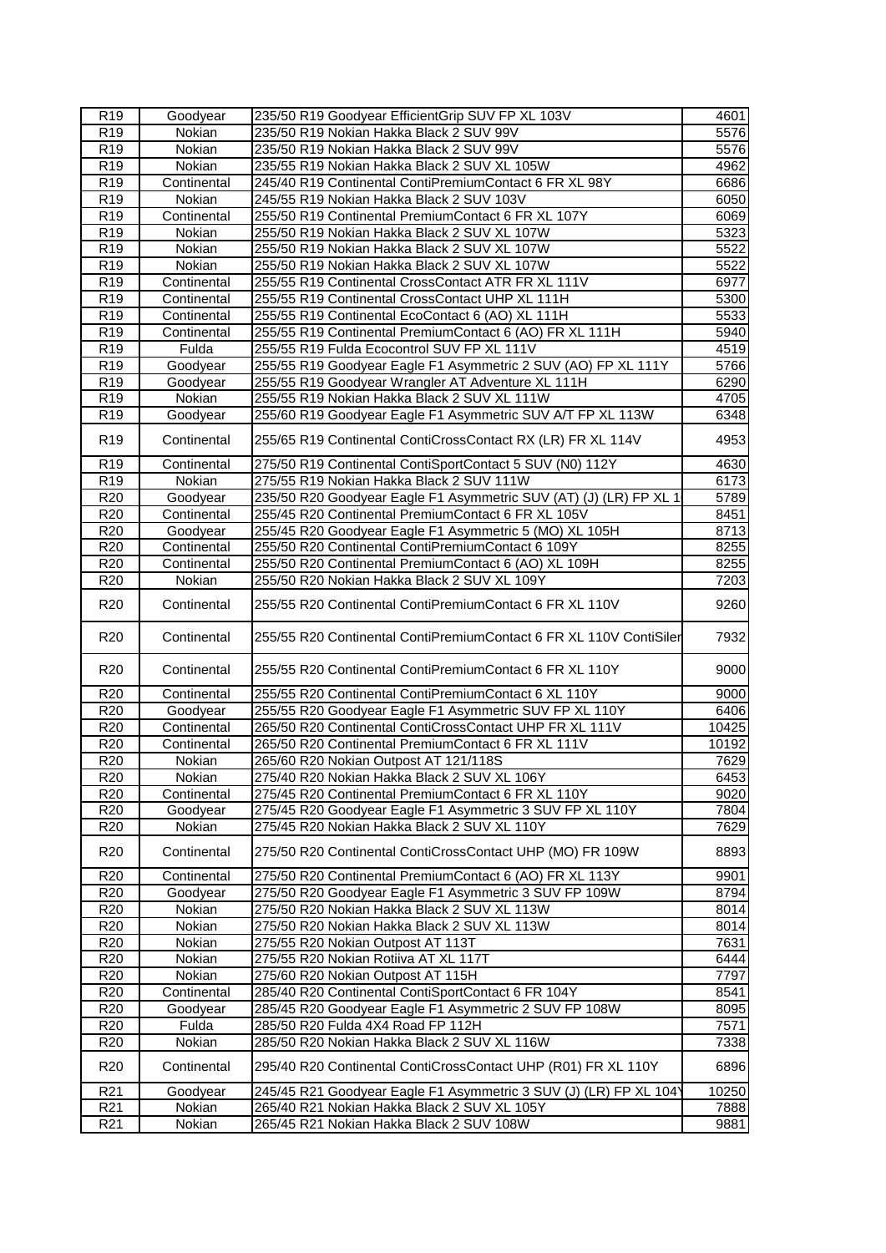| R <sub>19</sub> | Goodyear      | 235/50 R19 Goodyear EfficientGrip SUV FP XL 103V                   | 4601          |
|-----------------|---------------|--------------------------------------------------------------------|---------------|
| R <sub>19</sub> | <b>Nokian</b> | 235/50 R19 Nokian Hakka Black 2 SUV 99V                            | 5576          |
| R <sub>19</sub> | Nokian        | 235/50 R19 Nokian Hakka Black 2 SUV 99V                            | 5576          |
| R <sub>19</sub> | Nokian        | 235/55 R19 Nokian Hakka Black 2 SUV XL 105W                        | 4962          |
| R <sub>19</sub> | Continental   | 245/40 R19 Continental ContiPremiumContact 6 FR XL 98Y             | 6686          |
| R <sub>19</sub> | Nokian        | 245/55 R19 Nokian Hakka Black 2 SUV 103V                           | 6050          |
| R <sub>19</sub> | Continental   | 255/50 R19 Continental PremiumContact 6 FR XL 107Y                 | 6069          |
| R <sub>19</sub> | Nokian        | 255/50 R19 Nokian Hakka Black 2 SUV XL 107W                        | 5323          |
| R <sub>19</sub> | Nokian        | 255/50 R19 Nokian Hakka Black 2 SUV XL 107W                        | 5522          |
| R <sub>19</sub> | Nokian        | 255/50 R19 Nokian Hakka Black 2 SUV XL 107W                        | 5522          |
| R19             | Continental   | 255/55 R19 Continental CrossContact ATR FR XL 111V                 | 6977          |
| R <sub>19</sub> | Continental   | 255/55 R19 Continental CrossContact UHP XL 111H                    | 5300          |
| R <sub>19</sub> | Continental   | 255/55 R19 Continental EcoContact 6 (AO) XL 111H                   | 5533          |
| R <sub>19</sub> | Continental   | 255/55 R19 Continental PremiumContact 6 (AO) FR XL 111H            | 5940          |
| R <sub>19</sub> | Fulda         | 255/55 R19 Fulda Ecocontrol SUV FP XL 111V                         | 4519          |
| R <sub>19</sub> | Goodyear      | 255/55 R19 Goodyear Eagle F1 Asymmetric 2 SUV (AO) FP XL 111Y      | 5766          |
| R <sub>19</sub> | Goodyear      | 255/55 R19 Goodyear Wrangler AT Adventure XL 111H                  | 6290          |
| R <sub>19</sub> | Nokian        | 255/55 R19 Nokian Hakka Black 2 SUV XL 111W                        | 4705          |
| R <sub>19</sub> | Goodyear      | 255/60 R19 Goodyear Eagle F1 Asymmetric SUV A/T FP XL 113W         | 6348          |
| R <sub>19</sub> | Continental   | 255/65 R19 Continental ContiCrossContact RX (LR) FR XL 114V        | 4953          |
| R <sub>19</sub> | Continental   | 275/50 R19 Continental ContiSportContact 5 SUV (N0) 112Y           | 4630          |
| R <sub>19</sub> | Nokian        | 275/55 R19 Nokian Hakka Black 2 SUV 111W                           | 6173          |
| R <sub>20</sub> | Goodyear      | 235/50 R20 Goodyear Eagle F1 Asymmetric SUV (AT) (J) (LR) FP XL 1  | 5789          |
| R <sub>20</sub> | Continental   | 255/45 R20 Continental PremiumContact 6 FR XL 105V                 | 8451          |
| R20             | Goodyear      | 255/45 R20 Goodyear Eagle F1 Asymmetric 5 (MO) XL 105H             | 8713          |
| R <sub>20</sub> | Continental   | 255/50 R20 Continental ContiPremiumContact 6 109Y                  | 8255          |
| R <sub>20</sub> | Continental   | 255/50 R20 Continental PremiumContact 6 (AO) XL 109H               | 8255          |
| R <sub>20</sub> | Nokian        | 255/50 R20 Nokian Hakka Black 2 SUV XL 109Y                        | 7203          |
| R <sub>20</sub> | Continental   | 255/55 R20 Continental ContiPremiumContact 6 FR XL 110V            | 9260          |
| R <sub>20</sub> | Continental   | 255/55 R20 Continental ContiPremiumContact 6 FR XL 110V ContiSiler | 7932          |
| R <sub>20</sub> | Continental   | 255/55 R20 Continental ContiPremiumContact 6 FR XL 110Y            | 9000          |
| R <sub>20</sub> | Continental   | 255/55 R20 Continental ContiPremiumContact 6 XL 110Y               | 9000          |
| R <sub>20</sub> | Goodyear      | 255/55 R20 Goodyear Eagle F1 Asymmetric SUV FP XL 110Y             | 6406          |
| R <sub>20</sub> | Continental   | 265/50 R20 Continental ContiCrossContact UHP FR XL 111V            | 10425         |
| R <sub>20</sub> | Continental   | 265/50 R20 Continental PremiumContact 6 FR XL 111V                 | 10192         |
| R20             | Nokian        | 265/60 R20 Nokian Outpost AT 121/118S                              | 7629          |
| R20             | Nokian        | 275/40 R20 Nokian Hakka Black 2 SUV XL 106Y                        | 6453          |
| R <sub>20</sub> | Continental   | 275/45 R20 Continental PremiumContact 6 FR XL 110Y                 | 9020          |
| R <sub>20</sub> | Goodyear      | 275/45 R20 Goodyear Eagle F1 Asymmetric 3 SUV FP XL 110Y           | 7804          |
| R20             | Nokian        | 275/45 R20 Nokian Hakka Black 2 SUV XL 110Y                        | 7629          |
| R <sub>20</sub> | Continental   | 275/50 R20 Continental ContiCrossContact UHP (MO) FR 109W          | 8893          |
| R <sub>20</sub> | Continental   | 275/50 R20 Continental PremiumContact 6 (AO) FR XL 113Y            | 9901          |
| R <sub>20</sub> | Goodyear      | 275/50 R20 Goodyear Eagle F1 Asymmetric 3 SUV FP 109W              | 8794          |
| R <sub>20</sub> | Nokian        | 275/50 R20 Nokian Hakka Black 2 SUV XL 113W                        | $\sqrt{8014}$ |
| R <sub>20</sub> | Nokian        | 275/50 R20 Nokian Hakka Black 2 SUV XL 113W                        | 8014          |
| R <sub>20</sub> | Nokian        | 275/55 R20 Nokian Outpost AT 113T                                  | 7631          |
| R <sub>20</sub> | Nokian        | 275/55 R20 Nokian Rotiiva AT XL 117T                               | 6444          |
| R <sub>20</sub> | Nokian        | 275/60 R20 Nokian Outpost AT 115H                                  | 7797          |
| R <sub>20</sub> | Continental   | 285/40 R20 Continental ContiSportContact 6 FR 104Y                 | 8541          |
| R <sub>20</sub> | Goodyear      | 285/45 R20 Goodyear Eagle F1 Asymmetric 2 SUV FP 108W              | 8095          |
| R <sub>20</sub> | Fulda         | 285/50 R20 Fulda 4X4 Road FP 112H                                  | 7571          |
| R <sub>20</sub> | Nokian        | 285/50 R20 Nokian Hakka Black 2 SUV XL 116W                        | 7338          |
| R <sub>20</sub> | Continental   | 295/40 R20 Continental ContiCrossContact UHP (R01) FR XL 110Y      | 6896          |
| R <sub>21</sub> | Goodyear      | 245/45 R21 Goodyear Eagle F1 Asymmetric 3 SUV (J) (LR) FP XL 104)  | 10250         |
| R <sub>21</sub> | Nokian        | 265/40 R21 Nokian Hakka Black 2 SUV XL 105Y                        | 7888          |
| R <sub>21</sub> | Nokian        | 265/45 R21 Nokian Hakka Black 2 SUV 108W                           | 9881          |
|                 |               |                                                                    |               |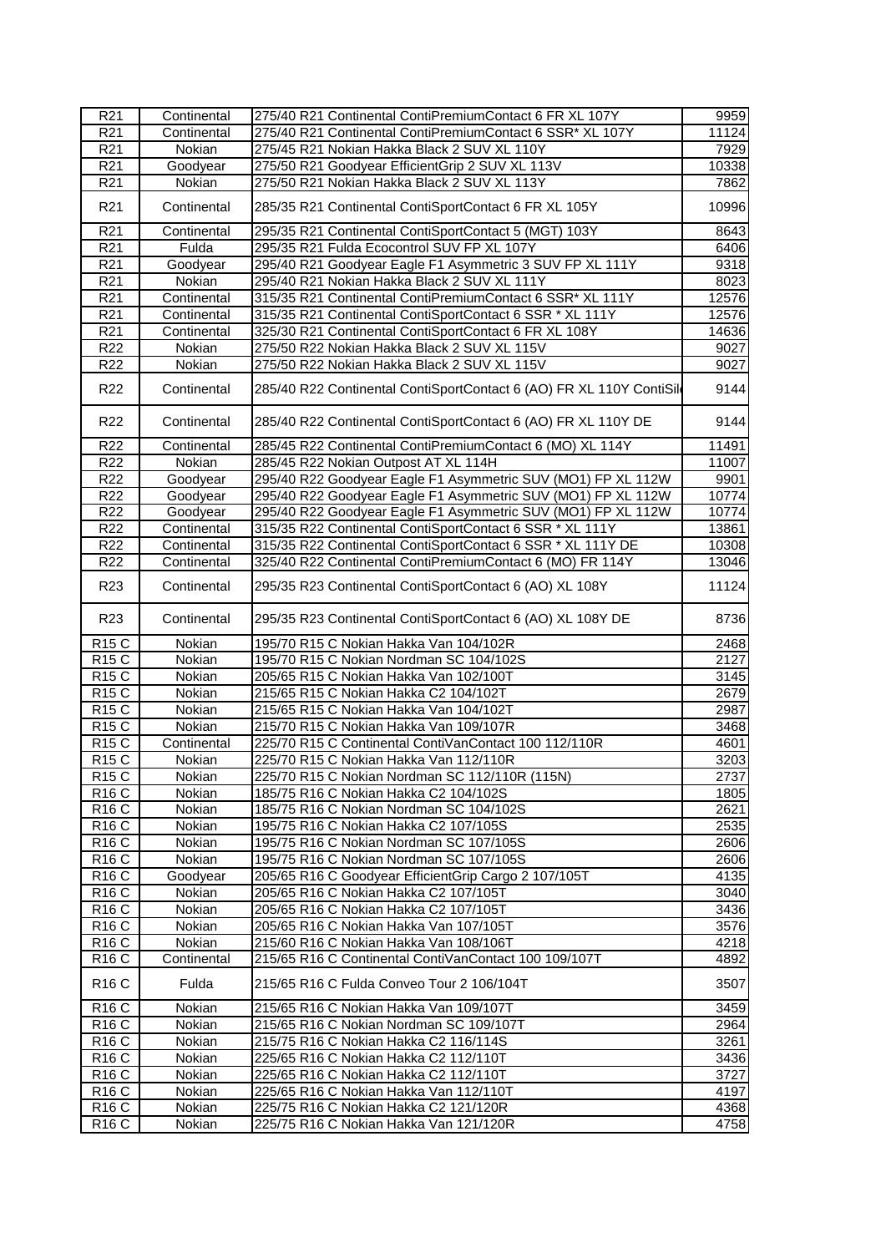| R <sub>21</sub>   | Continental | 275/40 R21 Continental ContiPremiumContact 6 FR XL 107Y             | 9959  |
|-------------------|-------------|---------------------------------------------------------------------|-------|
| R <sub>21</sub>   | Continental | 275/40 R21 Continental ContiPremiumContact 6 SSR* XL 107Y           | 11124 |
| R <sub>21</sub>   | Nokian      | 275/45 R21 Nokian Hakka Black 2 SUV XL 110Y                         | 7929  |
| R <sub>21</sub>   | Goodyear    | 275/50 R21 Goodyear EfficientGrip 2 SUV XL 113V                     | 10338 |
| R <sub>21</sub>   | Nokian      | 275/50 R21 Nokian Hakka Black 2 SUV XL 113Y                         | 7862  |
| R <sub>21</sub>   | Continental | 285/35 R21 Continental ContiSportContact 6 FR XL 105Y               | 10996 |
| R <sub>21</sub>   | Continental | 295/35 R21 Continental ContiSportContact 5 (MGT) 103Y               | 8643  |
| R <sub>21</sub>   | Fulda       | 295/35 R21 Fulda Ecocontrol SUV FP XL 107Y                          | 6406  |
| R <sub>21</sub>   | Goodyear    | 295/40 R21 Goodyear Eagle F1 Asymmetric 3 SUV FP XL 111Y            | 9318  |
| R <sub>21</sub>   | Nokian      | 295/40 R21 Nokian Hakka Black 2 SUV XL 111Y                         | 8023  |
| R <sub>21</sub>   | Continental | 315/35 R21 Continental ContiPremiumContact 6 SSR* XL 111Y           | 12576 |
| R <sub>21</sub>   | Continental | 315/35 R21 Continental ContiSportContact 6 SSR * XL 111Y            | 12576 |
| R <sub>21</sub>   | Continental | 325/30 R21 Continental ContiSportContact 6 FR XL 108Y               | 14636 |
| $\overline{R22}$  | Nokian      | 275/50 R22 Nokian Hakka Black 2 SUV XL 115V                         | 9027  |
| R <sub>22</sub>   | Nokian      | 275/50 R22 Nokian Hakka Black 2 SUV XL 115V                         | 9027  |
| R <sub>22</sub>   | Continental | 285/40 R22 Continental ContiSportContact 6 (AO) FR XL 110Y ContiSil | 9144  |
| R <sub>22</sub>   | Continental | 285/40 R22 Continental ContiSportContact 6 (AO) FR XL 110Y DE       | 9144  |
| R <sub>22</sub>   | Continental | 285/45 R22 Continental ContiPremiumContact 6 (MO) XL 114Y           | 11491 |
| R <sub>22</sub>   | Nokian      | 285/45 R22 Nokian Outpost AT XL 114H                                | 11007 |
| R22               | Goodyear    | 295/40 R22 Goodyear Eagle F1 Asymmetric SUV (MO1) FP XL 112W        | 9901  |
| R <sub>22</sub>   | Goodyear    | 295/40 R22 Goodyear Eagle F1 Asymmetric SUV (MO1) FP XL 112W        | 10774 |
| R <sub>22</sub>   | Goodyear    | 295/40 R22 Goodyear Eagle F1 Asymmetric SUV (MO1) FP XL 112W        | 10774 |
| R <sub>22</sub>   | Continental | 315/35 R22 Continental ContiSportContact 6 SSR * XL 111Y            | 13861 |
| $\overline{R}22$  | Continental | 315/35 R22 Continental ContiSportContact 6 SSR * XL 111Y DE         | 10308 |
| R <sub>22</sub>   | Continental | 325/40 R22 Continental ContiPremiumContact 6 (MO) FR 114Y           | 13046 |
| R <sub>23</sub>   | Continental | 295/35 R23 Continental ContiSportContact 6 (AO) XL 108Y             | 11124 |
| R <sub>23</sub>   | Continental | 295/35 R23 Continental ContiSportContact 6 (AO) XL 108Y DE          | 8736  |
| <b>R15 C</b>      | Nokian      | 195/70 R15 C Nokian Hakka Van 104/102R                              | 2468  |
| <b>R15 C</b>      | Nokian      | 195/70 R15 C Nokian Nordman SC 104/102S                             | 2127  |
| <b>R15 C</b>      | Nokian      | 205/65 R15 C Nokian Hakka Van 102/100T                              | 3145  |
| R15C              | Nokian      | 215/65 R15 C Nokian Hakka C2 104/102T                               | 2679  |
| <b>R15 C</b>      | Nokian      | 215/65 R15 C Nokian Hakka Van 104/102T                              | 2987  |
| <b>R15 C</b>      | Nokian      | 215/70 R15 C Nokian Hakka Van 109/107R                              | 3468  |
| <b>R15 C</b>      | Continental | 225/70 R15 C Continental ContiVanContact 100 112/110R               | 4601  |
| <b>R15 C</b>      | Nokian      | 225/70 R15 C Nokian Hakka Van 112/110R                              | 3203  |
| R15C              | Nokian      | 225/70 R15 C Nokian Nordman SC 112/110R (115N)                      | 2737  |
| R <sub>16</sub> C | Nokian      | 185/75 R16 C Nokian Hakka C2 104/102S                               | 1805  |
| <b>R16 C</b>      | Nokian      | 185/75 R16 C Nokian Nordman SC 104/102S                             | 2621  |
| <b>R16 C</b>      | Nokian      | 195/75 R16 C Nokian Hakka C2 107/105S                               | 2535  |
| R <sub>16</sub> C | Nokian      | 195/75 R16 C Nokian Nordman SC 107/105S                             | 2606  |
| <b>R16 C</b>      | Nokian      | 195/75 R16 C Nokian Nordman SC 107/105S                             | 2606  |
| <b>R16 C</b>      | Goodyear    | 205/65 R16 C Goodyear EfficientGrip Cargo 2 107/105T                | 4135  |
| R <sub>16</sub> C | Nokian      | 205/65 R16 C Nokian Hakka C2 107/105T                               | 3040  |
| <b>R16 C</b>      | Nokian      | 205/65 R16 C Nokian Hakka C2 107/105T                               | 3436  |
| <b>R16 C</b>      | Nokian      | 205/65 R16 C Nokian Hakka Van 107/105T                              | 3576  |
| <b>R16 C</b>      | Nokian      | 215/60 R16 C Nokian Hakka Van 108/106T                              | 4218  |
| <b>R16 C</b>      | Continental | 215/65 R16 C Continental ContiVanContact 100 109/107T               | 4892  |
| <b>R16 C</b>      | Fulda       | 215/65 R16 C Fulda Conveo Tour 2 106/104T                           | 3507  |
| R <sub>16</sub> C | Nokian      | 215/65 R16 C Nokian Hakka Van 109/107T                              | 3459  |
| R <sub>16</sub> C | Nokian      | 215/65 R16 C Nokian Nordman SC 109/107T                             | 2964  |
| <b>R16 C</b>      | Nokian      | 215/75 R16 C Nokian Hakka C2 116/114S                               | 3261  |
| <b>R16 C</b>      | Nokian      | 225/65 R16 C Nokian Hakka C2 112/110T                               | 3436  |
| <b>R16 C</b>      | Nokian      | 225/65 R16 C Nokian Hakka C2 112/110T                               | 3727  |
| R <sub>16</sub> C | Nokian      | 225/65 R16 C Nokian Hakka Van 112/110T                              | 4197  |
| <b>R16 C</b>      | Nokian      | 225/75 R16 C Nokian Hakka C2 121/120R                               | 4368  |
| <b>R16 C</b>      | Nokian      | 225/75 R16 C Nokian Hakka Van 121/120R                              | 4758  |
|                   |             |                                                                     |       |